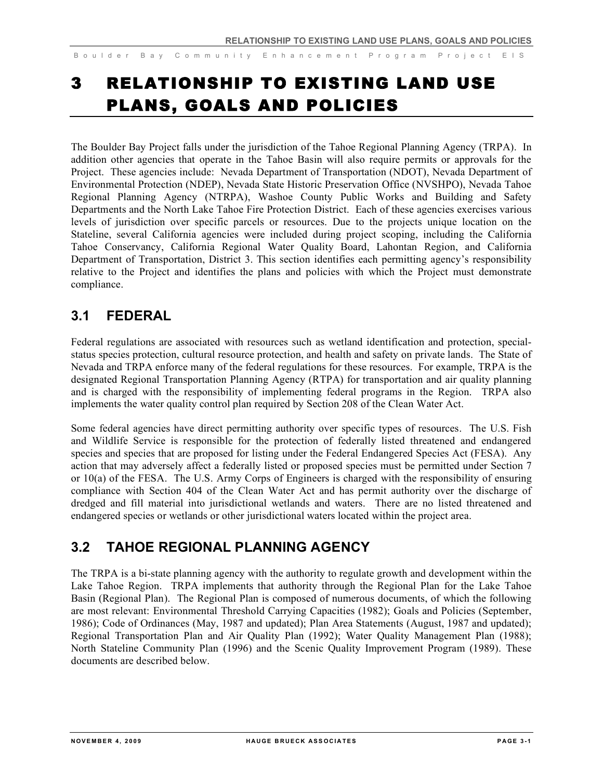# 3 RELATIONSHIP TO EXISTING LAND USE PLANS, GOALS AND POLICIES

The Boulder Bay Project falls under the jurisdiction of the Tahoe Regional Planning Agency (TRPA). In addition other agencies that operate in the Tahoe Basin will also require permits or approvals for the Project. These agencies include: Nevada Department of Transportation (NDOT), Nevada Department of Environmental Protection (NDEP), Nevada State Historic Preservation Office (NVSHPO), Nevada Tahoe Regional Planning Agency (NTRPA), Washoe County Public Works and Building and Safety Departments and the North Lake Tahoe Fire Protection District. Each of these agencies exercises various levels of jurisdiction over specific parcels or resources. Due to the projects unique location on the Stateline, several California agencies were included during project scoping, including the California Tahoe Conservancy, California Regional Water Quality Board, Lahontan Region, and California Department of Transportation, District 3. This section identifies each permitting agency's responsibility relative to the Project and identifies the plans and policies with which the Project must demonstrate compliance.

### **3.1 FEDERAL**

Federal regulations are associated with resources such as wetland identification and protection, specialstatus species protection, cultural resource protection, and health and safety on private lands. The State of Nevada and TRPA enforce many of the federal regulations for these resources. For example, TRPA is the designated Regional Transportation Planning Agency (RTPA) for transportation and air quality planning and is charged with the responsibility of implementing federal programs in the Region. TRPA also implements the water quality control plan required by Section 208 of the Clean Water Act.

Some federal agencies have direct permitting authority over specific types of resources. The U.S. Fish and Wildlife Service is responsible for the protection of federally listed threatened and endangered species and species that are proposed for listing under the Federal Endangered Species Act (FESA). Any action that may adversely affect a federally listed or proposed species must be permitted under Section 7 or 10(a) of the FESA. The U.S. Army Corps of Engineers is charged with the responsibility of ensuring compliance with Section 404 of the Clean Water Act and has permit authority over the discharge of dredged and fill material into jurisdictional wetlands and waters. There are no listed threatened and endangered species or wetlands or other jurisdictional waters located within the project area.

### **3.2 TAHOE REGIONAL PLANNING AGENCY**

The TRPA is a bi-state planning agency with the authority to regulate growth and development within the Lake Tahoe Region. TRPA implements that authority through the Regional Plan for the Lake Tahoe Basin (Regional Plan). The Regional Plan is composed of numerous documents, of which the following are most relevant: Environmental Threshold Carrying Capacities (1982); Goals and Policies (September, 1986); Code of Ordinances (May, 1987 and updated); Plan Area Statements (August, 1987 and updated); Regional Transportation Plan and Air Quality Plan (1992); Water Quality Management Plan (1988); North Stateline Community Plan (1996) and the Scenic Quality Improvement Program (1989). These documents are described below.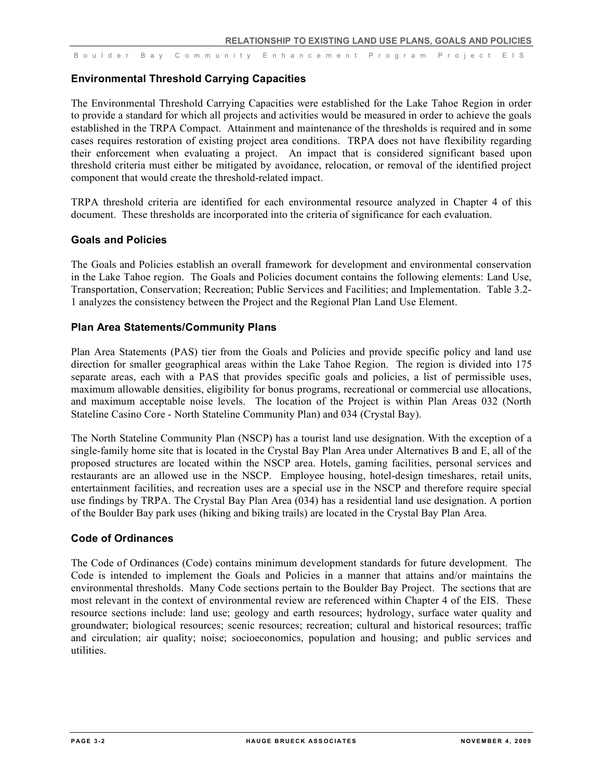#### **Environmental Threshold Carrying Capacities**

The Environmental Threshold Carrying Capacities were established for the Lake Tahoe Region in order to provide a standard for which all projects and activities would be measured in order to achieve the goals established in the TRPA Compact. Attainment and maintenance of the thresholds is required and in some cases requires restoration of existing project area conditions. TRPA does not have flexibility regarding their enforcement when evaluating a project. An impact that is considered significant based upon threshold criteria must either be mitigated by avoidance, relocation, or removal of the identified project component that would create the threshold-related impact.

TRPA threshold criteria are identified for each environmental resource analyzed in Chapter 4 of this document. These thresholds are incorporated into the criteria of significance for each evaluation.

#### **Goals and Policies**

The Goals and Policies establish an overall framework for development and environmental conservation in the Lake Tahoe region. The Goals and Policies document contains the following elements: Land Use, Transportation, Conservation; Recreation; Public Services and Facilities; and Implementation. Table 3.2- 1 analyzes the consistency between the Project and the Regional Plan Land Use Element.

#### **Plan Area Statements/Community Plans**

Plan Area Statements (PAS) tier from the Goals and Policies and provide specific policy and land use direction for smaller geographical areas within the Lake Tahoe Region. The region is divided into 175 separate areas, each with a PAS that provides specific goals and policies, a list of permissible uses, maximum allowable densities, eligibility for bonus programs, recreational or commercial use allocations, and maximum acceptable noise levels. The location of the Project is within Plan Areas 032 (North Stateline Casino Core - North Stateline Community Plan) and 034 (Crystal Bay).

The North Stateline Community Plan (NSCP) has a tourist land use designation. With the exception of a single-family home site that is located in the Crystal Bay Plan Area under Alternatives B and E, all of the proposed structures are located within the NSCP area. Hotels, gaming facilities, personal services and restaurants are an allowed use in the NSCP. Employee housing, hotel-design timeshares, retail units, entertainment facilities, and recreation uses are a special use in the NSCP and therefore require special use findings by TRPA. The Crystal Bay Plan Area (034) has a residential land use designation. A portion of the Boulder Bay park uses (hiking and biking trails) are located in the Crystal Bay Plan Area.

#### **Code of Ordinances**

The Code of Ordinances (Code) contains minimum development standards for future development. The Code is intended to implement the Goals and Policies in a manner that attains and/or maintains the environmental thresholds. Many Code sections pertain to the Boulder Bay Project. The sections that are most relevant in the context of environmental review are referenced within Chapter 4 of the EIS. These resource sections include: land use; geology and earth resources; hydrology, surface water quality and groundwater; biological resources; scenic resources; recreation; cultural and historical resources; traffic and circulation; air quality; noise; socioeconomics, population and housing; and public services and utilities.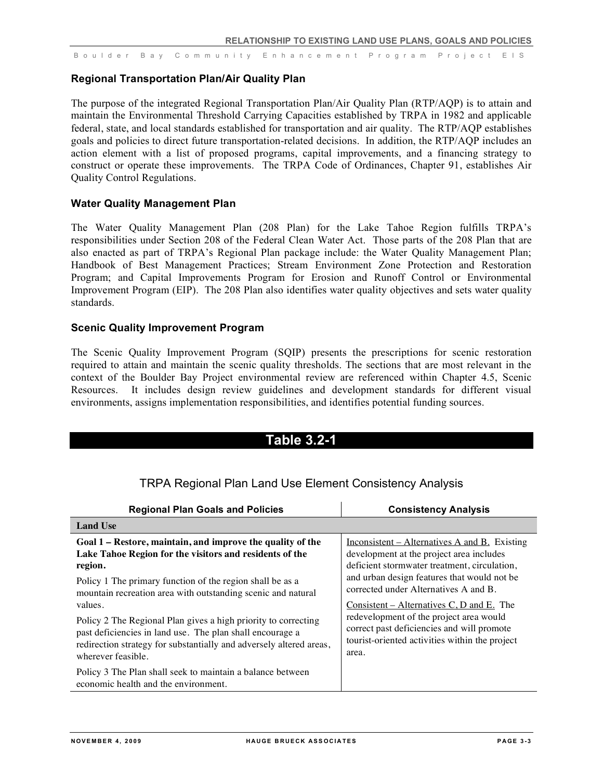#### **Regional Transportation Plan/Air Quality Plan**

The purpose of the integrated Regional Transportation Plan/Air Quality Plan (RTP/AQP) is to attain and maintain the Environmental Threshold Carrying Capacities established by TRPA in 1982 and applicable federal, state, and local standards established for transportation and air quality. The RTP/AQP establishes goals and policies to direct future transportation-related decisions. In addition, the RTP/AQP includes an action element with a list of proposed programs, capital improvements, and a financing strategy to construct or operate these improvements. The TRPA Code of Ordinances, Chapter 91, establishes Air Quality Control Regulations.

#### **Water Quality Management Plan**

The Water Quality Management Plan (208 Plan) for the Lake Tahoe Region fulfills TRPA's responsibilities under Section 208 of the Federal Clean Water Act. Those parts of the 208 Plan that are also enacted as part of TRPA's Regional Plan package include: the Water Quality Management Plan; Handbook of Best Management Practices; Stream Environment Zone Protection and Restoration Program; and Capital Improvements Program for Erosion and Runoff Control or Environmental Improvement Program (EIP). The 208 Plan also identifies water quality objectives and sets water quality standards.

#### **Scenic Quality Improvement Program**

The Scenic Quality Improvement Program (SQIP) presents the prescriptions for scenic restoration required to attain and maintain the scenic quality thresholds. The sections that are most relevant in the context of the Boulder Bay Project environmental review are referenced within Chapter 4.5, Scenic Resources. It includes design review guidelines and development standards for different visual environments, assigns implementation responsibilities, and identifies potential funding sources.

### **Table 3.2-1**

| <b>Regional Plan Goals and Policies</b>                                                            | <b>Consistency Analysis</b>                     |
|----------------------------------------------------------------------------------------------------|-------------------------------------------------|
| <b>Land Use</b>                                                                                    |                                                 |
| Goal 1 – Restore, maintain, and improve the quality of the                                         | $Inconsistent - Alternatives A and B. Existing$ |
| Lake Tahoe Region for the visitors and residents of the                                            | development at the project area includes        |
| region.                                                                                            | deficient stormwater treatment, circulation,    |
| Policy 1 The primary function of the region shall be as a                                          | and urban design features that would not be     |
| mountain recreation area with outstanding scenic and natural                                       | corrected under Alternatives A and B.           |
| values.                                                                                            | Consistent – Alternatives $C, D$ and $E$ . The  |
| Policy 2 The Regional Plan gives a high priority to correcting                                     | redevelopment of the project area would         |
| past deficiencies in land use. The plan shall encourage a                                          | correct past deficiencies and will promote      |
| redirection strategy for substantially and adversely altered areas,                                | tourist-oriented activities within the project  |
| wherever feasible.                                                                                 | area.                                           |
| Policy 3 The Plan shall seek to maintain a balance between<br>economic health and the environment. |                                                 |

### TRPA Regional Plan Land Use Element Consistency Analysis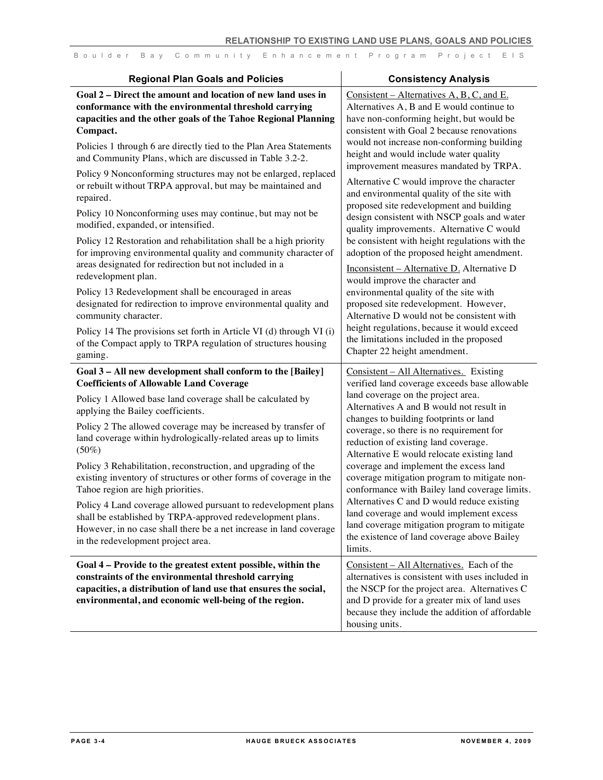| <b>Regional Plan Goals and Policies</b>                                                                                                                                                                                                                                                                                                                                                                                                                                                                                                                                                                                                                                                                                                                                                | <b>Consistency Analysis</b>                                                                                                                                                                                                                                                                                                                                                                                                                                                                                                                                                                                                                                                                           |
|----------------------------------------------------------------------------------------------------------------------------------------------------------------------------------------------------------------------------------------------------------------------------------------------------------------------------------------------------------------------------------------------------------------------------------------------------------------------------------------------------------------------------------------------------------------------------------------------------------------------------------------------------------------------------------------------------------------------------------------------------------------------------------------|-------------------------------------------------------------------------------------------------------------------------------------------------------------------------------------------------------------------------------------------------------------------------------------------------------------------------------------------------------------------------------------------------------------------------------------------------------------------------------------------------------------------------------------------------------------------------------------------------------------------------------------------------------------------------------------------------------|
| Goal 2 - Direct the amount and location of new land uses in<br>conformance with the environmental threshold carrying<br>capacities and the other goals of the Tahoe Regional Planning<br>Compact.<br>Policies 1 through 6 are directly tied to the Plan Area Statements<br>and Community Plans, which are discussed in Table 3.2-2.<br>Policy 9 Nonconforming structures may not be enlarged, replaced<br>or rebuilt without TRPA approval, but may be maintained and<br>repaired.                                                                                                                                                                                                                                                                                                     | Consistent – Alternatives $A, B, C$ , and E.<br>Alternatives A, B and E would continue to<br>have non-conforming height, but would be<br>consistent with Goal 2 because renovations<br>would not increase non-conforming building<br>height and would include water quality<br>improvement measures mandated by TRPA.<br>Alternative C would improve the character<br>and environmental quality of the site with                                                                                                                                                                                                                                                                                      |
| Policy 10 Nonconforming uses may continue, but may not be<br>modified, expanded, or intensified.<br>Policy 12 Restoration and rehabilitation shall be a high priority<br>for improving environmental quality and community character of<br>areas designated for redirection but not included in a<br>redevelopment plan.<br>Policy 13 Redevelopment shall be encouraged in areas<br>designated for redirection to improve environmental quality and<br>community character.<br>Policy 14 The provisions set forth in Article VI (d) through VI (i)<br>of the Compact apply to TRPA regulation of structures housing<br>gaming.                                                                                                                                                         | proposed site redevelopment and building<br>design consistent with NSCP goals and water<br>quality improvements. Alternative C would<br>be consistent with height regulations with the<br>adoption of the proposed height amendment.<br>Inconsistent - Alternative D. Alternative D<br>would improve the character and<br>environmental quality of the site with<br>proposed site redevelopment. However,<br>Alternative D would not be consistent with<br>height regulations, because it would exceed<br>the limitations included in the proposed<br>Chapter 22 height amendment.                                                                                                                    |
| Goal 3 - All new development shall conform to the [Bailey]<br><b>Coefficients of Allowable Land Coverage</b><br>Policy 1 Allowed base land coverage shall be calculated by<br>applying the Bailey coefficients.<br>Policy 2 The allowed coverage may be increased by transfer of<br>land coverage within hydrologically-related areas up to limits<br>$(50\%)$<br>Policy 3 Rehabilitation, reconstruction, and upgrading of the<br>existing inventory of structures or other forms of coverage in the<br>Tahoe region are high priorities.<br>Policy 4 Land coverage allowed pursuant to redevelopment plans<br>shall be established by TRPA-approved redevelopment plans.<br>However, in no case shall there be a net increase in land coverage<br>in the redevelopment project area. | Consistent - All Alternatives. Existing<br>verified land coverage exceeds base allowable<br>land coverage on the project area.<br>Alternatives A and B would not result in<br>changes to building footprints or land<br>coverage, so there is no requirement for<br>reduction of existing land coverage.<br>Alternative E would relocate existing land<br>coverage and implement the excess land<br>coverage mitigation program to mitigate non-<br>conformance with Bailey land coverage limits.<br>Alternatives C and D would reduce existing<br>land coverage and would implement excess<br>land coverage mitigation program to mitigate<br>the existence of land coverage above Bailey<br>limits. |
| Goal 4 – Provide to the greatest extent possible, within the<br>constraints of the environmental threshold carrying<br>capacities, a distribution of land use that ensures the social,<br>environmental, and economic well-being of the region.                                                                                                                                                                                                                                                                                                                                                                                                                                                                                                                                        | Consistent - All Alternatives. Each of the<br>alternatives is consistent with uses included in<br>the NSCP for the project area. Alternatives C<br>and D provide for a greater mix of land uses<br>because they include the addition of affordable<br>housing units.                                                                                                                                                                                                                                                                                                                                                                                                                                  |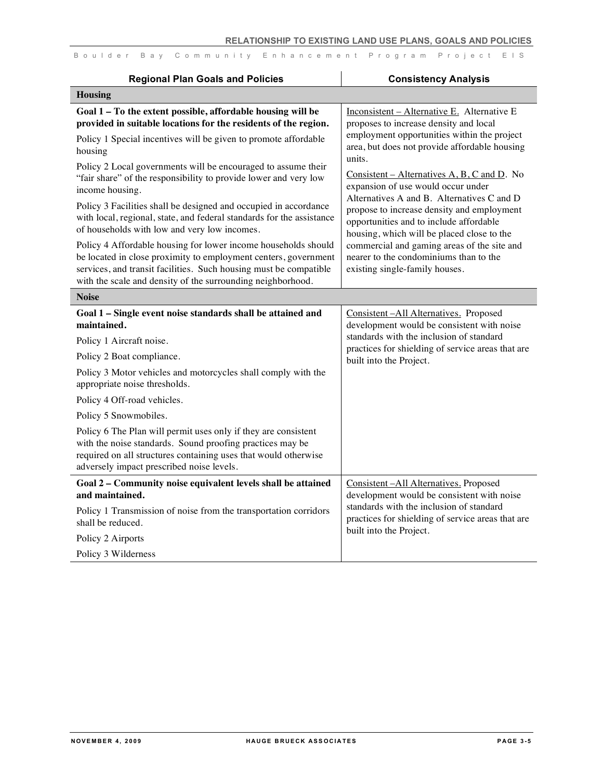| <b>Regional Plan Goals and Policies</b>                                                                                                                                                                                                                                                                                                                                                                                                                                                                                                                                                                                                                                                                                                                                                                                                    | <b>Consistency Analysis</b>                                                                                                                                                                                                                                                                                                                                                                                                                                                                                                                                                                               |
|--------------------------------------------------------------------------------------------------------------------------------------------------------------------------------------------------------------------------------------------------------------------------------------------------------------------------------------------------------------------------------------------------------------------------------------------------------------------------------------------------------------------------------------------------------------------------------------------------------------------------------------------------------------------------------------------------------------------------------------------------------------------------------------------------------------------------------------------|-----------------------------------------------------------------------------------------------------------------------------------------------------------------------------------------------------------------------------------------------------------------------------------------------------------------------------------------------------------------------------------------------------------------------------------------------------------------------------------------------------------------------------------------------------------------------------------------------------------|
| <b>Housing</b>                                                                                                                                                                                                                                                                                                                                                                                                                                                                                                                                                                                                                                                                                                                                                                                                                             |                                                                                                                                                                                                                                                                                                                                                                                                                                                                                                                                                                                                           |
| Goal 1 - To the extent possible, affordable housing will be<br>provided in suitable locations for the residents of the region.<br>Policy 1 Special incentives will be given to promote affordable<br>housing<br>Policy 2 Local governments will be encouraged to assume their<br>"fair share" of the responsibility to provide lower and very low<br>income housing.<br>Policy 3 Facilities shall be designed and occupied in accordance<br>with local, regional, state, and federal standards for the assistance<br>of households with low and very low incomes.<br>Policy 4 Affordable housing for lower income households should<br>be located in close proximity to employment centers, government<br>services, and transit facilities. Such housing must be compatible<br>with the scale and density of the surrounding neighborhood. | Inconsistent - Alternative E. Alternative E<br>proposes to increase density and local<br>employment opportunities within the project<br>area, but does not provide affordable housing<br>units.<br>Consistent – Alternatives $A, B, C$ and $D$ . No<br>expansion of use would occur under<br>Alternatives A and B. Alternatives C and D<br>propose to increase density and employment<br>opportunities and to include affordable<br>housing, which will be placed close to the<br>commercial and gaming areas of the site and<br>nearer to the condominiums than to the<br>existing single-family houses. |
| <b>Noise</b>                                                                                                                                                                                                                                                                                                                                                                                                                                                                                                                                                                                                                                                                                                                                                                                                                               |                                                                                                                                                                                                                                                                                                                                                                                                                                                                                                                                                                                                           |
| Goal 1 - Single event noise standards shall be attained and<br>maintained.<br>Policy 1 Aircraft noise.<br>Policy 2 Boat compliance.<br>Policy 3 Motor vehicles and motorcycles shall comply with the<br>appropriate noise thresholds.<br>Policy 4 Off-road vehicles.<br>Policy 5 Snowmobiles.<br>Policy 6 The Plan will permit uses only if they are consistent<br>with the noise standards. Sound proofing practices may be<br>required on all structures containing uses that would otherwise<br>adversely impact prescribed noise levels.                                                                                                                                                                                                                                                                                               | Consistent-All Alternatives. Proposed<br>development would be consistent with noise<br>standards with the inclusion of standard<br>practices for shielding of service areas that are<br>built into the Project.                                                                                                                                                                                                                                                                                                                                                                                           |
| Goal 2 - Community noise equivalent levels shall be attained<br>and maintained.<br>Policy 1 Transmission of noise from the transportation corridors<br>shall be reduced.<br>Policy 2 Airports<br>Policy 3 Wilderness                                                                                                                                                                                                                                                                                                                                                                                                                                                                                                                                                                                                                       | Consistent-All Alternatives. Proposed<br>development would be consistent with noise<br>standards with the inclusion of standard<br>practices for shielding of service areas that are<br>built into the Project.                                                                                                                                                                                                                                                                                                                                                                                           |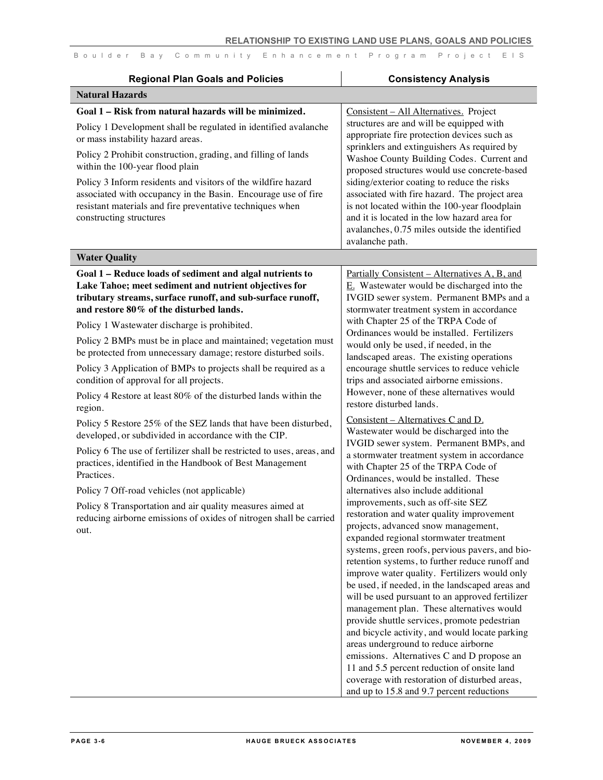| <b>Regional Plan Goals and Policies</b>                                                                                                                                                                                                                                                                                                                                                                                                                                                     | <b>Consistency Analysis</b>                                                                                                                                                                                                                                                                                                                                                                                                                                                                                                                                                                                                                                                                                                                                                                                                                                                                                                                                                                                                                                                                                        |
|---------------------------------------------------------------------------------------------------------------------------------------------------------------------------------------------------------------------------------------------------------------------------------------------------------------------------------------------------------------------------------------------------------------------------------------------------------------------------------------------|--------------------------------------------------------------------------------------------------------------------------------------------------------------------------------------------------------------------------------------------------------------------------------------------------------------------------------------------------------------------------------------------------------------------------------------------------------------------------------------------------------------------------------------------------------------------------------------------------------------------------------------------------------------------------------------------------------------------------------------------------------------------------------------------------------------------------------------------------------------------------------------------------------------------------------------------------------------------------------------------------------------------------------------------------------------------------------------------------------------------|
| <b>Natural Hazards</b>                                                                                                                                                                                                                                                                                                                                                                                                                                                                      |                                                                                                                                                                                                                                                                                                                                                                                                                                                                                                                                                                                                                                                                                                                                                                                                                                                                                                                                                                                                                                                                                                                    |
| Goal 1 - Risk from natural hazards will be minimized.<br>Policy 1 Development shall be regulated in identified avalanche<br>or mass instability hazard areas.<br>Policy 2 Prohibit construction, grading, and filling of lands<br>within the 100-year flood plain<br>Policy 3 Inform residents and visitors of the wildfire hazard<br>associated with occupancy in the Basin. Encourage use of fire<br>resistant materials and fire preventative techniques when<br>constructing structures | Consistent - All Alternatives. Project<br>structures are and will be equipped with<br>appropriate fire protection devices such as<br>sprinklers and extinguishers As required by<br>Washoe County Building Codes. Current and<br>proposed structures would use concrete-based<br>siding/exterior coating to reduce the risks<br>associated with fire hazard. The project area<br>is not located within the 100-year floodplain<br>and it is located in the low hazard area for<br>avalanches, 0.75 miles outside the identified<br>avalanche path.                                                                                                                                                                                                                                                                                                                                                                                                                                                                                                                                                                 |
| <b>Water Quality</b>                                                                                                                                                                                                                                                                                                                                                                                                                                                                        |                                                                                                                                                                                                                                                                                                                                                                                                                                                                                                                                                                                                                                                                                                                                                                                                                                                                                                                                                                                                                                                                                                                    |
| Goal 1 - Reduce loads of sediment and algal nutrients to<br>Lake Tahoe; meet sediment and nutrient objectives for<br>tributary streams, surface runoff, and sub-surface runoff,<br>and restore 80% of the disturbed lands.                                                                                                                                                                                                                                                                  | Partially Consistent - Alternatives A, B, and<br>$E.$ Wastewater would be discharged into the<br>IVGID sewer system. Permanent BMPs and a<br>stormwater treatment system in accordance                                                                                                                                                                                                                                                                                                                                                                                                                                                                                                                                                                                                                                                                                                                                                                                                                                                                                                                             |
| Policy 1 Wastewater discharge is prohibited.<br>Policy 2 BMPs must be in place and maintained; vegetation must<br>be protected from unnecessary damage; restore disturbed soils.<br>Policy 3 Application of BMPs to projects shall be required as a<br>condition of approval for all projects.<br>Policy 4 Restore at least 80% of the disturbed lands within the                                                                                                                           | with Chapter 25 of the TRPA Code of<br>Ordinances would be installed. Fertilizers<br>would only be used, if needed, in the<br>landscaped areas. The existing operations<br>encourage shuttle services to reduce vehicle<br>trips and associated airborne emissions.<br>However, none of these alternatives would<br>restore disturbed lands.                                                                                                                                                                                                                                                                                                                                                                                                                                                                                                                                                                                                                                                                                                                                                                       |
| region.<br>Policy 5 Restore 25% of the SEZ lands that have been disturbed,<br>developed, or subdivided in accordance with the CIP.<br>Policy 6 The use of fertilizer shall be restricted to uses, areas, and<br>practices, identified in the Handbook of Best Management<br>Practices.<br>Policy 7 Off-road vehicles (not applicable)<br>Policy 8 Transportation and air quality measures aimed at<br>reducing airborne emissions of oxides of nitrogen shall be carried<br>out.            | Consistent – Alternatives C and D.<br>Wastewater would be discharged into the<br>IVGID sewer system. Permanent BMPs, and<br>a stormwater treatment system in accordance<br>with Chapter 25 of the TRPA Code of<br>Ordinances, would be installed. These<br>alternatives also include additional<br>improvements, such as off-site SEZ<br>restoration and water quality improvement<br>projects, advanced snow management,<br>expanded regional stormwater treatment<br>systems, green roofs, pervious pavers, and bio-<br>retention systems, to further reduce runoff and<br>improve water quality. Fertilizers would only<br>be used, if needed, in the landscaped areas and<br>will be used pursuant to an approved fertilizer<br>management plan. These alternatives would<br>provide shuttle services, promote pedestrian<br>and bicycle activity, and would locate parking<br>areas underground to reduce airborne<br>emissions. Alternatives C and D propose an<br>11 and 5.5 percent reduction of onsite land<br>coverage with restoration of disturbed areas,<br>and up to 15.8 and 9.7 percent reductions |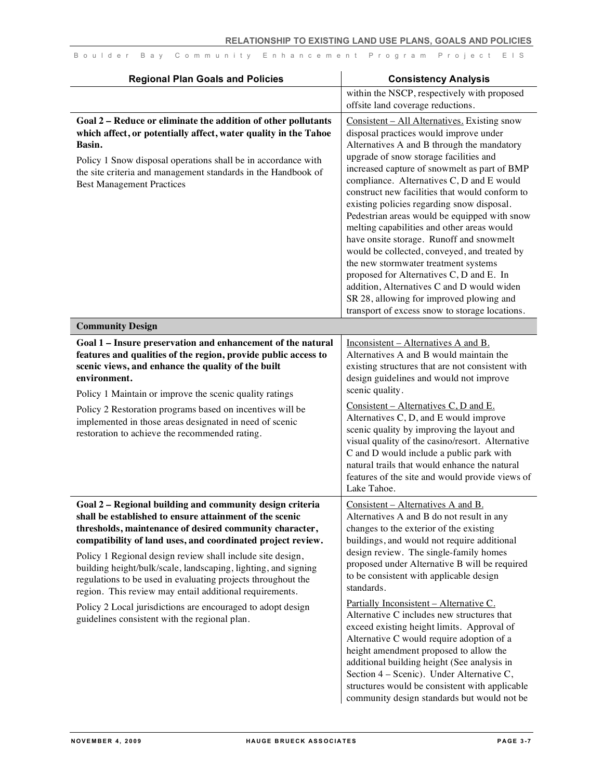| <b>Regional Plan Goals and Policies</b>                                                                                                                                                                                                                                                                                                                                                                                                                                                                  | <b>Consistency Analysis</b>                                                                                                                                                                                                                                                                                                                                                                                                                                                                                                                                                                                                                                                                                                                                                                           |
|----------------------------------------------------------------------------------------------------------------------------------------------------------------------------------------------------------------------------------------------------------------------------------------------------------------------------------------------------------------------------------------------------------------------------------------------------------------------------------------------------------|-------------------------------------------------------------------------------------------------------------------------------------------------------------------------------------------------------------------------------------------------------------------------------------------------------------------------------------------------------------------------------------------------------------------------------------------------------------------------------------------------------------------------------------------------------------------------------------------------------------------------------------------------------------------------------------------------------------------------------------------------------------------------------------------------------|
|                                                                                                                                                                                                                                                                                                                                                                                                                                                                                                          | within the NSCP, respectively with proposed<br>offsite land coverage reductions.                                                                                                                                                                                                                                                                                                                                                                                                                                                                                                                                                                                                                                                                                                                      |
| Goal 2 - Reduce or eliminate the addition of other pollutants<br>which affect, or potentially affect, water quality in the Tahoe<br>Basin.<br>Policy 1 Snow disposal operations shall be in accordance with<br>the site criteria and management standards in the Handbook of<br><b>Best Management Practices</b>                                                                                                                                                                                         | Consistent - All Alternatives. Existing snow<br>disposal practices would improve under<br>Alternatives A and B through the mandatory<br>upgrade of snow storage facilities and<br>increased capture of snowmelt as part of BMP<br>compliance. Alternatives C, D and E would<br>construct new facilities that would conform to<br>existing policies regarding snow disposal.<br>Pedestrian areas would be equipped with snow<br>melting capabilities and other areas would<br>have onsite storage. Runoff and snowmelt<br>would be collected, conveyed, and treated by<br>the new stormwater treatment systems<br>proposed for Alternatives C, D and E. In<br>addition, Alternatives C and D would widen<br>SR 28, allowing for improved plowing and<br>transport of excess snow to storage locations. |
| <b>Community Design</b>                                                                                                                                                                                                                                                                                                                                                                                                                                                                                  |                                                                                                                                                                                                                                                                                                                                                                                                                                                                                                                                                                                                                                                                                                                                                                                                       |
| Goal 1 - Insure preservation and enhancement of the natural<br>features and qualities of the region, provide public access to<br>scenic views, and enhance the quality of the built<br>environment.<br>Policy 1 Maintain or improve the scenic quality ratings<br>Policy 2 Restoration programs based on incentives will be<br>implemented in those areas designated in need of scenic<br>restoration to achieve the recommended rating.                                                                 | Inconsistent – Alternatives A and B.<br>Alternatives A and B would maintain the<br>existing structures that are not consistent with<br>design guidelines and would not improve<br>scenic quality.<br>Consistent – Alternatives $C, D$ and $E$ .<br>Alternatives C, D, and E would improve<br>scenic quality by improving the layout and<br>visual quality of the casino/resort. Alternative<br>C and D would include a public park with<br>natural trails that would enhance the natural<br>features of the site and would provide views of<br>Lake Tahoe.                                                                                                                                                                                                                                            |
| Goal 2 - Regional building and community design criteria<br>shall be established to ensure attainment of the scenic<br>thresholds, maintenance of desired community character,<br>compatibility of land uses, and coordinated project review.<br>Policy 1 Regional design review shall include site design,<br>building height/bulk/scale, landscaping, lighting, and signing<br>regulations to be used in evaluating projects throughout the<br>region. This review may entail additional requirements. | Consistent - Alternatives A and B.<br>Alternatives A and B do not result in any<br>changes to the exterior of the existing<br>buildings, and would not require additional<br>design review. The single-family homes<br>proposed under Alternative B will be required<br>to be consistent with applicable design<br>standards.                                                                                                                                                                                                                                                                                                                                                                                                                                                                         |
| Policy 2 Local jurisdictions are encouraged to adopt design<br>guidelines consistent with the regional plan.                                                                                                                                                                                                                                                                                                                                                                                             | Partially Inconsistent - Alternative C.<br>Alternative C includes new structures that<br>exceed existing height limits. Approval of<br>Alternative C would require adoption of a<br>height amendment proposed to allow the<br>additional building height (See analysis in<br>Section 4 – Scenic). Under Alternative C,<br>structures would be consistent with applicable<br>community design standards but would not be                                                                                                                                                                                                                                                                                                                                                                               |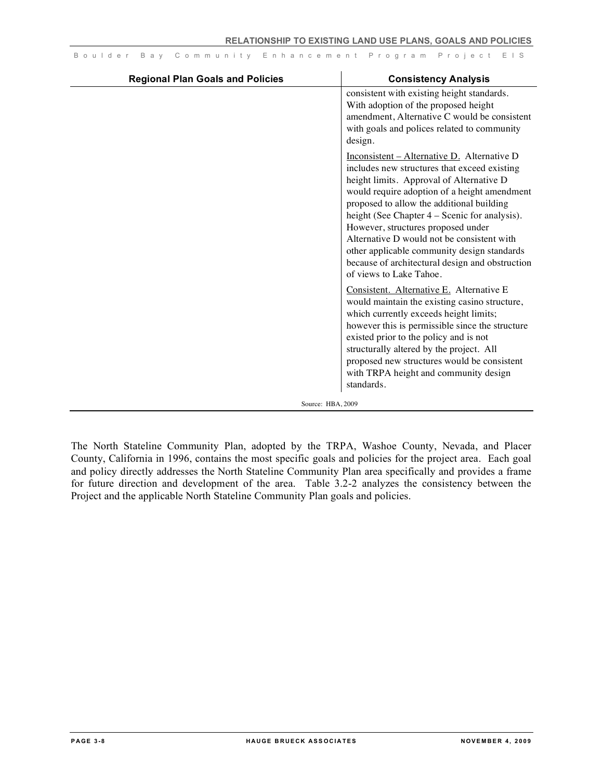| <b>Regional Plan Goals and Policies</b> | <b>Consistency Analysis</b>                                                                                                                                                                                                                                                                                                                                                                                                                                                                              |
|-----------------------------------------|----------------------------------------------------------------------------------------------------------------------------------------------------------------------------------------------------------------------------------------------------------------------------------------------------------------------------------------------------------------------------------------------------------------------------------------------------------------------------------------------------------|
|                                         | consistent with existing height standards.<br>With adoption of the proposed height<br>amendment, Alternative C would be consistent<br>with goals and polices related to community<br>design.                                                                                                                                                                                                                                                                                                             |
|                                         | $Inconsistent - Alternative D.$ Alternative D<br>includes new structures that exceed existing<br>height limits. Approval of Alternative D<br>would require adoption of a height amendment<br>proposed to allow the additional building<br>height (See Chapter 4 – Scenic for analysis).<br>However, structures proposed under<br>Alternative D would not be consistent with<br>other applicable community design standards<br>because of architectural design and obstruction<br>of views to Lake Tahoe. |
|                                         | Consistent. Alternative E. Alternative E<br>would maintain the existing casino structure,<br>which currently exceeds height limits;<br>however this is permissible since the structure<br>existed prior to the policy and is not<br>structurally altered by the project. All<br>proposed new structures would be consistent<br>with TRPA height and community design<br>standards.                                                                                                                       |
| Source: HBA, 2009                       |                                                                                                                                                                                                                                                                                                                                                                                                                                                                                                          |

The North Stateline Community Plan, adopted by the TRPA, Washoe County, Nevada, and Placer County, California in 1996, contains the most specific goals and policies for the project area. Each goal and policy directly addresses the North Stateline Community Plan area specifically and provides a frame for future direction and development of the area. Table 3.2-2 analyzes the consistency between the Project and the applicable North Stateline Community Plan goals and policies.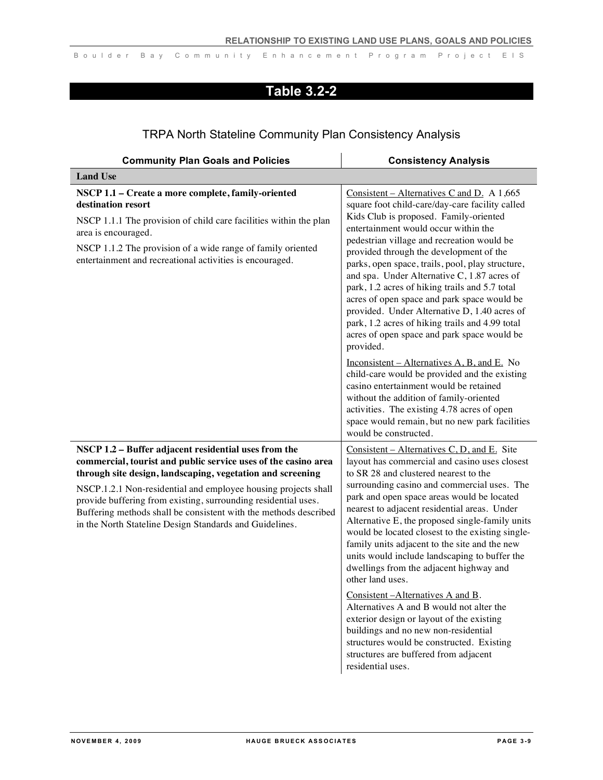## **Table 3.2-2**

### TRPA North Stateline Community Plan Consistency Analysis

| <b>Community Plan Goals and Policies</b>                                                                                                                                                                                                                                                                                                                                                                                                                | <b>Consistency Analysis</b>                                                                                                                                                                                                                                                                                                                                                                                                                                                                                                                                                                                                                                                                                                                                                                                                                |
|---------------------------------------------------------------------------------------------------------------------------------------------------------------------------------------------------------------------------------------------------------------------------------------------------------------------------------------------------------------------------------------------------------------------------------------------------------|--------------------------------------------------------------------------------------------------------------------------------------------------------------------------------------------------------------------------------------------------------------------------------------------------------------------------------------------------------------------------------------------------------------------------------------------------------------------------------------------------------------------------------------------------------------------------------------------------------------------------------------------------------------------------------------------------------------------------------------------------------------------------------------------------------------------------------------------|
| <b>Land Use</b>                                                                                                                                                                                                                                                                                                                                                                                                                                         |                                                                                                                                                                                                                                                                                                                                                                                                                                                                                                                                                                                                                                                                                                                                                                                                                                            |
| NSCP 1.1 - Create a more complete, family-oriented<br>destination resort<br>NSCP 1.1.1 The provision of child care facilities within the plan<br>area is encouraged.<br>NSCP 1.1.2 The provision of a wide range of family oriented<br>entertainment and recreational activities is encouraged.                                                                                                                                                         | Consistent – Alternatives C and D. A 1,665<br>square foot child-care/day-care facility called<br>Kids Club is proposed. Family-oriented<br>entertainment would occur within the<br>pedestrian village and recreation would be<br>provided through the development of the<br>parks, open space, trails, pool, play structure,<br>and spa. Under Alternative C, 1.87 acres of<br>park, 1.2 acres of hiking trails and 5.7 total<br>acres of open space and park space would be<br>provided. Under Alternative D, 1.40 acres of<br>park, 1.2 acres of hiking trails and 4.99 total<br>acres of open space and park space would be<br>provided.<br>Inconsistent – Alternatives $A, B$ , and $E$ . No<br>child-care would be provided and the existing                                                                                          |
|                                                                                                                                                                                                                                                                                                                                                                                                                                                         | casino entertainment would be retained<br>without the addition of family-oriented<br>activities. The existing 4.78 acres of open<br>space would remain, but no new park facilities<br>would be constructed.                                                                                                                                                                                                                                                                                                                                                                                                                                                                                                                                                                                                                                |
| NSCP 1.2 - Buffer adjacent residential uses from the<br>commercial, tourist and public service uses of the casino area<br>through site design, landscaping, vegetation and screening<br>NSCP.1.2.1 Non-residential and employee housing projects shall<br>provide buffering from existing, surrounding residential uses.<br>Buffering methods shall be consistent with the methods described<br>in the North Stateline Design Standards and Guidelines. | Consistent – Alternatives C, D, and E. Site<br>layout has commercial and casino uses closest<br>to SR 28 and clustered nearest to the<br>surrounding casino and commercial uses. The<br>park and open space areas would be located<br>nearest to adjacent residential areas. Under<br>Alternative E, the proposed single-family units<br>would be located closest to the existing single-<br>family units adjacent to the site and the new<br>units would include landscaping to buffer the<br>dwellings from the adjacent highway and<br>other land uses.<br>Consistent-Alternatives A and B.<br>Alternatives A and B would not alter the<br>exterior design or layout of the existing<br>buildings and no new non-residential<br>structures would be constructed. Existing<br>structures are buffered from adjacent<br>residential uses. |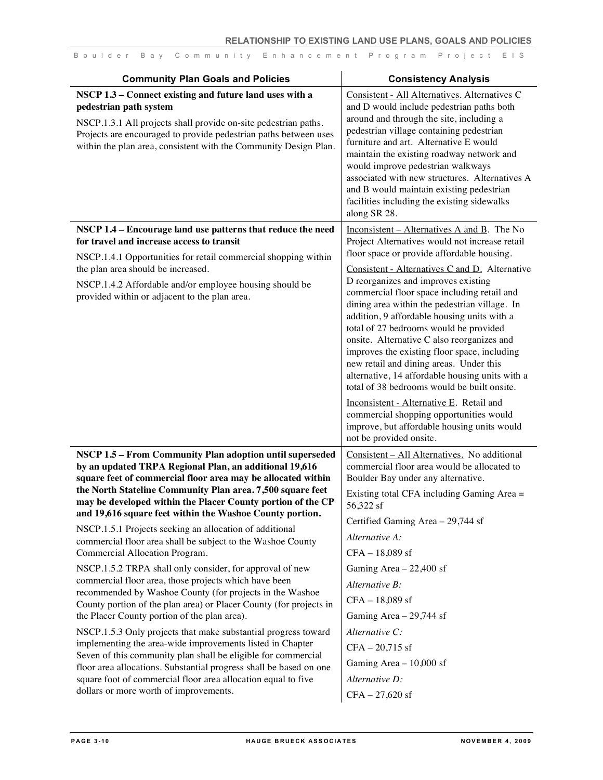| Consistent - All Alternatives. Alternatives C<br>and D would include pedestrian paths both<br>around and through the site, including a<br>pedestrian village containing pedestrian<br>furniture and art. Alternative E would<br>maintain the existing roadway network and<br>would improve pedestrian walkways<br>associated with new structures. Alternatives A                                                                                                                                                                                                                                                                                                                                                                                                                                                                          |
|-------------------------------------------------------------------------------------------------------------------------------------------------------------------------------------------------------------------------------------------------------------------------------------------------------------------------------------------------------------------------------------------------------------------------------------------------------------------------------------------------------------------------------------------------------------------------------------------------------------------------------------------------------------------------------------------------------------------------------------------------------------------------------------------------------------------------------------------|
| and B would maintain existing pedestrian<br>facilities including the existing sidewalks<br>along SR 28.                                                                                                                                                                                                                                                                                                                                                                                                                                                                                                                                                                                                                                                                                                                                   |
| Inconsistent – Alternatives A and B. The No<br>Project Alternatives would not increase retail<br>floor space or provide affordable housing.<br>Consistent - Alternatives C and D. Alternative<br>D reorganizes and improves existing<br>commercial floor space including retail and<br>dining area within the pedestrian village. In<br>addition, 9 affordable housing units with a<br>total of 27 bedrooms would be provided<br>onsite. Alternative C also reorganizes and<br>improves the existing floor space, including<br>new retail and dining areas. Under this<br>alternative, 14 affordable housing units with a<br>total of 38 bedrooms would be built onsite.<br>Inconsistent - Alternative E. Retail and<br>commercial shopping opportunities would<br>improve, but affordable housing units would<br>not be provided onsite. |
| Consistent - All Alternatives. No additional<br>commercial floor area would be allocated to<br>Boulder Bay under any alternative.<br>Existing total CFA including Gaming Area =<br>56,322 sf<br>Certified Gaming Area - 29,744 sf<br>Alternative A:<br>CFA - 18,089 sf<br>Gaming Area $-22,400$ sf<br>Alternative B:<br>CFA - 18,089 sf<br>Gaming Area $-29,744$ sf<br>Alternative C:<br>$CFA - 20,715$ sf<br>Gaming Area $-10,000$ sf                                                                                                                                                                                                                                                                                                                                                                                                    |
|                                                                                                                                                                                                                                                                                                                                                                                                                                                                                                                                                                                                                                                                                                                                                                                                                                           |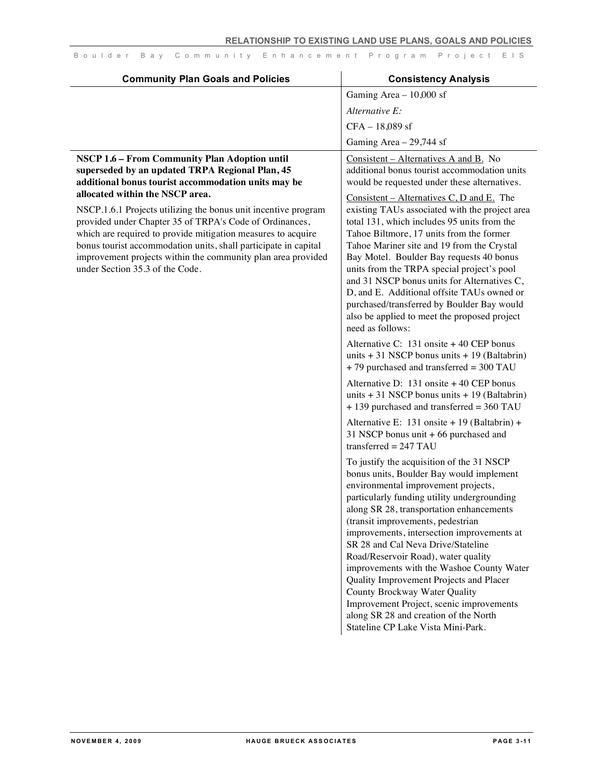| <b>Community Plan Goals and Policies</b>                                                                                                                                                                                                                                                                                                                                                                                                                                                                                                                      | <b>Consistency Analysis</b>                                                                                                                                                                                                                                                                                                                                                                                                                                                                                                                                                                                                                                                                                                                                                                                                                                                                                                                                                                                                                                                                                                                                                                                                                                                                                                                                                                                                                                                                                                                                                                                                                                                                                                                   |
|---------------------------------------------------------------------------------------------------------------------------------------------------------------------------------------------------------------------------------------------------------------------------------------------------------------------------------------------------------------------------------------------------------------------------------------------------------------------------------------------------------------------------------------------------------------|-----------------------------------------------------------------------------------------------------------------------------------------------------------------------------------------------------------------------------------------------------------------------------------------------------------------------------------------------------------------------------------------------------------------------------------------------------------------------------------------------------------------------------------------------------------------------------------------------------------------------------------------------------------------------------------------------------------------------------------------------------------------------------------------------------------------------------------------------------------------------------------------------------------------------------------------------------------------------------------------------------------------------------------------------------------------------------------------------------------------------------------------------------------------------------------------------------------------------------------------------------------------------------------------------------------------------------------------------------------------------------------------------------------------------------------------------------------------------------------------------------------------------------------------------------------------------------------------------------------------------------------------------------------------------------------------------------------------------------------------------|
|                                                                                                                                                                                                                                                                                                                                                                                                                                                                                                                                                               | Gaming Area $-10,000$ sf                                                                                                                                                                                                                                                                                                                                                                                                                                                                                                                                                                                                                                                                                                                                                                                                                                                                                                                                                                                                                                                                                                                                                                                                                                                                                                                                                                                                                                                                                                                                                                                                                                                                                                                      |
|                                                                                                                                                                                                                                                                                                                                                                                                                                                                                                                                                               | Alternative E:                                                                                                                                                                                                                                                                                                                                                                                                                                                                                                                                                                                                                                                                                                                                                                                                                                                                                                                                                                                                                                                                                                                                                                                                                                                                                                                                                                                                                                                                                                                                                                                                                                                                                                                                |
|                                                                                                                                                                                                                                                                                                                                                                                                                                                                                                                                                               | $CFA - 18,089$ sf                                                                                                                                                                                                                                                                                                                                                                                                                                                                                                                                                                                                                                                                                                                                                                                                                                                                                                                                                                                                                                                                                                                                                                                                                                                                                                                                                                                                                                                                                                                                                                                                                                                                                                                             |
|                                                                                                                                                                                                                                                                                                                                                                                                                                                                                                                                                               | Gaming Area $-29,744$ sf                                                                                                                                                                                                                                                                                                                                                                                                                                                                                                                                                                                                                                                                                                                                                                                                                                                                                                                                                                                                                                                                                                                                                                                                                                                                                                                                                                                                                                                                                                                                                                                                                                                                                                                      |
| NSCP 1.6 - From Community Plan Adoption until<br>superseded by an updated TRPA Regional Plan, 45<br>additional bonus tourist accommodation units may be<br>allocated within the NSCP area.<br>NSCP.1.6.1 Projects utilizing the bonus unit incentive program<br>provided under Chapter 35 of TRPA's Code of Ordinances,<br>which are required to provide mitigation measures to acquire<br>bonus tourist accommodation units, shall participate in capital<br>improvement projects within the community plan area provided<br>under Section 35.3 of the Code. | Consistent – Alternatives A and B. No<br>additional bonus tourist accommodation units<br>would be requested under these alternatives.<br>Consistent – Alternatives C, D and E. The<br>existing TAUs associated with the project area<br>total 131, which includes 95 units from the<br>Tahoe Biltmore, 17 units from the former<br>Tahoe Mariner site and 19 from the Crystal<br>Bay Motel. Boulder Bay requests 40 bonus<br>units from the TRPA special project's pool<br>and 31 NSCP bonus units for Alternatives C,<br>D, and E. Additional offsite TAUs owned or<br>purchased/transferred by Boulder Bay would<br>also be applied to meet the proposed project<br>need as follows:<br>Alternative C: 131 onsite + 40 CEP bonus<br>units $+31$ NSCP bonus units $+19$ (Baltabrin)<br>+79 purchased and transferred = 300 TAU<br>Alternative D: 131 onsite + 40 CEP bonus<br>units $+31$ NSCP bonus units $+19$ (Baltabrin)<br>+ 139 purchased and transferred = 360 TAU<br>Alternative E: 131 onsite + 19 (Baltabrin) +<br>31 NSCP bonus unit + 66 purchased and<br>transferred = $247$ TAU<br>To justify the acquisition of the 31 NSCP<br>bonus units, Boulder Bay would implement<br>environmental improvement projects,<br>particularly funding utility undergrounding<br>along SR 28, transportation enhancements<br>(transit improvements, pedestrian<br>improvements, intersection improvements at<br>SR 28 and Cal Neva Drive/Stateline<br>Road/Reservoir Road), water quality<br>improvements with the Washoe County Water<br>Quality Improvement Projects and Placer<br>County Brockway Water Quality<br>Improvement Project, scenic improvements<br>along SR 28 and creation of the North<br>Stateline CP Lake Vista Mini-Park. |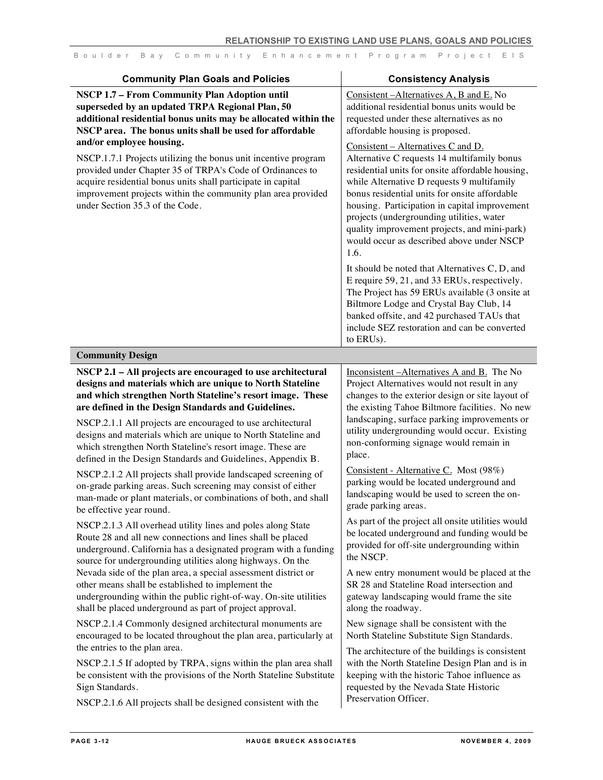| <b>Community Plan Goals and Policies</b>                                                                                                                                                                                                                                                                                                                                                                                                                                                                                                                    | <b>Consistency Analysis</b>                                                                                                                                                                                                                                                                                                                                                                                                                                                                                                                                                                                                                                                                                                                                                                                                                                                                                               |
|-------------------------------------------------------------------------------------------------------------------------------------------------------------------------------------------------------------------------------------------------------------------------------------------------------------------------------------------------------------------------------------------------------------------------------------------------------------------------------------------------------------------------------------------------------------|---------------------------------------------------------------------------------------------------------------------------------------------------------------------------------------------------------------------------------------------------------------------------------------------------------------------------------------------------------------------------------------------------------------------------------------------------------------------------------------------------------------------------------------------------------------------------------------------------------------------------------------------------------------------------------------------------------------------------------------------------------------------------------------------------------------------------------------------------------------------------------------------------------------------------|
| NSCP 1.7 - From Community Plan Adoption until<br>superseded by an updated TRPA Regional Plan, 50<br>additional residential bonus units may be allocated within the<br>NSCP area. The bonus units shall be used for affordable<br>and/or employee housing.<br>NSCP.1.7.1 Projects utilizing the bonus unit incentive program<br>provided under Chapter 35 of TRPA's Code of Ordinances to<br>acquire residential bonus units shall participate in capital<br>improvement projects within the community plan area provided<br>under Section 35.3 of the Code. | Consistent-Alternatives A, B and E. No<br>additional residential bonus units would be<br>requested under these alternatives as no<br>affordable housing is proposed.<br>Consistent - Alternatives C and D.<br>Alternative C requests 14 multifamily bonus<br>residential units for onsite affordable housing,<br>while Alternative D requests 9 multifamily<br>bonus residential units for onsite affordable<br>housing. Participation in capital improvement<br>projects (undergrounding utilities, water<br>quality improvement projects, and mini-park)<br>would occur as described above under NSCP<br>1.6.<br>It should be noted that Alternatives C, D, and<br>E require 59, 21, and 33 ERUs, respectively.<br>The Project has 59 ERUs available (3 onsite at<br>Biltmore Lodge and Crystal Bay Club, 14<br>banked offsite, and 42 purchased TAUs that<br>include SEZ restoration and can be converted<br>to ERUs). |
| <b>Community Design</b>                                                                                                                                                                                                                                                                                                                                                                                                                                                                                                                                     |                                                                                                                                                                                                                                                                                                                                                                                                                                                                                                                                                                                                                                                                                                                                                                                                                                                                                                                           |
| NSCP 2.1 - All projects are encouraged to use architectural<br>designs and materials which are unique to North Stateline<br>and which strengthen North Stateline's resort image. These<br>are defined in the Design Standards and Guidelines.<br>NSCP.2.1.1 All projects are encouraged to use architectural<br>designs and materials which are unique to North Stateline and<br>which strengthen North Stateline's resort image. These are<br>defined in the Design Standards and Guidelines, Appendix B.                                                  | Inconsistent-Alternatives A and B. The No<br>Project Alternatives would not result in any<br>changes to the exterior design or site layout of<br>the existing Tahoe Biltmore facilities. No new<br>landscaping, surface parking improvements or<br>utility undergrounding would occur. Existing<br>non-conforming signage would remain in<br>place.                                                                                                                                                                                                                                                                                                                                                                                                                                                                                                                                                                       |
| NSCP.2.1.2 All projects shall provide landscaped screening of<br>on-grade parking areas. Such screening may consist of either                                                                                                                                                                                                                                                                                                                                                                                                                               | Consistent - Alternative C. Most (98%)<br>parking would be located underground and                                                                                                                                                                                                                                                                                                                                                                                                                                                                                                                                                                                                                                                                                                                                                                                                                                        |

on-grade parking areas. Such screening may consist of either man-made or plant materials, or combinations of both, and shall be effective year round.

NSCP.2.1.3 All overhead utility lines and poles along State Route 28 and all new connections and lines shall be placed underground. California has a designated program with a funding source for undergrounding utilities along highways. On the Nevada side of the plan area, a special assessment district or other means shall be established to implement the undergrounding within the public right-of-way. On-site utilities shall be placed underground as part of project approval.

NSCP.2.1.4 Commonly designed architectural monuments are encouraged to be located throughout the plan area, particularly at the entries to the plan area.

NSCP.2.1.5 If adopted by TRPA, signs within the plan area shall be consistent with the provisions of the North Stateline Substitute Sign Standards.

NSCP.2.1.6 All projects shall be designed consistent with the

landscaping would be used to screen the ongrade parking areas.

As part of the project all onsite utilities would be located underground and funding would be provided for off-site undergrounding within the NSCP.

A new entry monument would be placed at the SR 28 and Stateline Road intersection and gateway landscaping would frame the site along the roadway.

New signage shall be consistent with the North Stateline Substitute Sign Standards.

The architecture of the buildings is consistent with the North Stateline Design Plan and is in keeping with the historic Tahoe influence as requested by the Nevada State Historic Preservation Officer.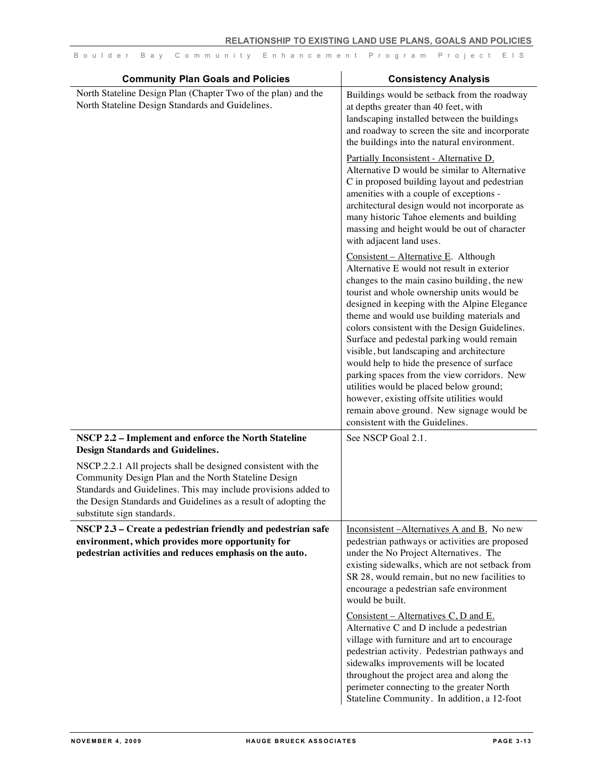| <b>Community Plan Goals and Policies</b>                                                                                                                                                                                                                                                 | <b>Consistency Analysis</b>                                                                                                                                                                                                                                                                                                                                                                                                                                                                                                                                                                                                                                                                    |
|------------------------------------------------------------------------------------------------------------------------------------------------------------------------------------------------------------------------------------------------------------------------------------------|------------------------------------------------------------------------------------------------------------------------------------------------------------------------------------------------------------------------------------------------------------------------------------------------------------------------------------------------------------------------------------------------------------------------------------------------------------------------------------------------------------------------------------------------------------------------------------------------------------------------------------------------------------------------------------------------|
| North Stateline Design Plan (Chapter Two of the plan) and the<br>North Stateline Design Standards and Guidelines.                                                                                                                                                                        | Buildings would be setback from the roadway<br>at depths greater than 40 feet, with<br>landscaping installed between the buildings<br>and roadway to screen the site and incorporate<br>the buildings into the natural environment.                                                                                                                                                                                                                                                                                                                                                                                                                                                            |
|                                                                                                                                                                                                                                                                                          | Partially Inconsistent - Alternative D.<br>Alternative D would be similar to Alternative<br>C in proposed building layout and pedestrian<br>amenities with a couple of exceptions -<br>architectural design would not incorporate as<br>many historic Tahoe elements and building<br>massing and height would be out of character<br>with adjacent land uses.                                                                                                                                                                                                                                                                                                                                  |
|                                                                                                                                                                                                                                                                                          | Consistent - Alternative E. Although<br>Alternative E would not result in exterior<br>changes to the main casino building, the new<br>tourist and whole ownership units would be<br>designed in keeping with the Alpine Elegance<br>theme and would use building materials and<br>colors consistent with the Design Guidelines.<br>Surface and pedestal parking would remain<br>visible, but landscaping and architecture<br>would help to hide the presence of surface<br>parking spaces from the view corridors. New<br>utilities would be placed below ground;<br>however, existing offsite utilities would<br>remain above ground. New signage would be<br>consistent with the Guidelines. |
| NSCP 2.2 - Implement and enforce the North Stateline<br><b>Design Standards and Guidelines.</b>                                                                                                                                                                                          | See NSCP Goal 2.1.                                                                                                                                                                                                                                                                                                                                                                                                                                                                                                                                                                                                                                                                             |
| NSCP.2.2.1 All projects shall be designed consistent with the<br>Community Design Plan and the North Stateline Design<br>Standards and Guidelines. This may include provisions added to<br>the Design Standards and Guidelines as a result of adopting the<br>substitute sign standards. |                                                                                                                                                                                                                                                                                                                                                                                                                                                                                                                                                                                                                                                                                                |
| NSCP 2.3 – Create a pedestrian friendly and pedestrian safe<br>environment, which provides more opportunity for<br>pedestrian activities and reduces emphasis on the auto.                                                                                                               | Inconsistent - Alternatives A and B. No new<br>pedestrian pathways or activities are proposed<br>under the No Project Alternatives. The<br>existing sidewalks, which are not setback from<br>SR 28, would remain, but no new facilities to<br>encourage a pedestrian safe environment<br>would be built.                                                                                                                                                                                                                                                                                                                                                                                       |
|                                                                                                                                                                                                                                                                                          | Consistent – Alternatives $C, D$ and $E$ .<br>Alternative C and D include a pedestrian<br>village with furniture and art to encourage<br>pedestrian activity. Pedestrian pathways and<br>sidewalks improvements will be located<br>throughout the project area and along the<br>perimeter connecting to the greater North<br>Stateline Community. In addition, a 12-foot                                                                                                                                                                                                                                                                                                                       |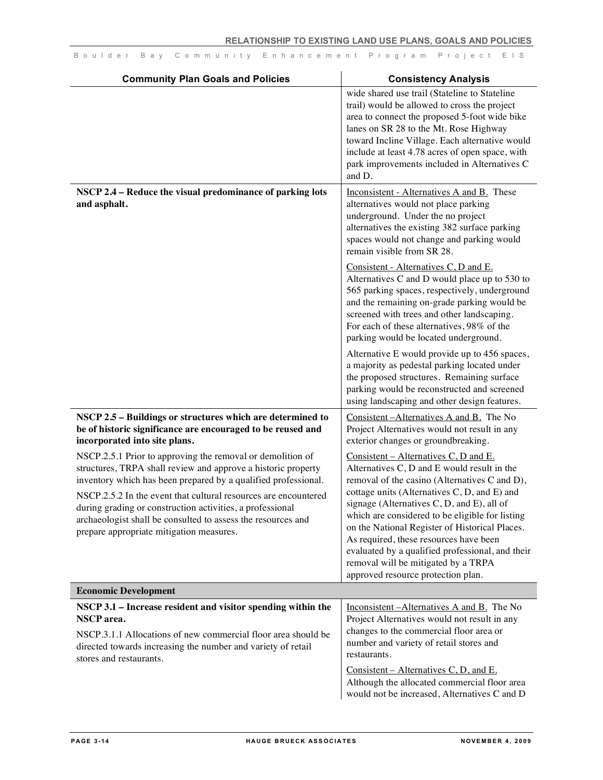| <b>Community Plan Goals and Policies</b>                                                                                                                                                                                                                                                                                                                                                                                                  | <b>Consistency Analysis</b>                                                                                                                                                                                                                                                                                                                                                                                                                                                                                               |
|-------------------------------------------------------------------------------------------------------------------------------------------------------------------------------------------------------------------------------------------------------------------------------------------------------------------------------------------------------------------------------------------------------------------------------------------|---------------------------------------------------------------------------------------------------------------------------------------------------------------------------------------------------------------------------------------------------------------------------------------------------------------------------------------------------------------------------------------------------------------------------------------------------------------------------------------------------------------------------|
|                                                                                                                                                                                                                                                                                                                                                                                                                                           | wide shared use trail (Stateline to Stateline<br>trail) would be allowed to cross the project<br>area to connect the proposed 5-foot wide bike<br>lanes on SR 28 to the Mt. Rose Highway<br>toward Incline Village. Each alternative would<br>include at least 4.78 acres of open space, with<br>park improvements included in Alternatives C<br>and D.                                                                                                                                                                   |
| NSCP 2.4 - Reduce the visual predominance of parking lots<br>and asphalt.                                                                                                                                                                                                                                                                                                                                                                 | Inconsistent - Alternatives A and B. These<br>alternatives would not place parking<br>underground. Under the no project<br>alternatives the existing 382 surface parking<br>spaces would not change and parking would<br>remain visible from SR 28.                                                                                                                                                                                                                                                                       |
|                                                                                                                                                                                                                                                                                                                                                                                                                                           | Consistent - Alternatives C, D and E.<br>Alternatives C and D would place up to 530 to<br>565 parking spaces, respectively, underground<br>and the remaining on-grade parking would be<br>screened with trees and other landscaping.<br>For each of these alternatives, 98% of the<br>parking would be located underground.                                                                                                                                                                                               |
|                                                                                                                                                                                                                                                                                                                                                                                                                                           | Alternative E would provide up to 456 spaces,<br>a majority as pedestal parking located under<br>the proposed structures. Remaining surface<br>parking would be reconstructed and screened<br>using landscaping and other design features.                                                                                                                                                                                                                                                                                |
| NSCP 2.5 - Buildings or structures which are determined to<br>be of historic significance are encouraged to be reused and<br>incorporated into site plans.                                                                                                                                                                                                                                                                                | Consistent-Alternatives A and B. The No<br>Project Alternatives would not result in any<br>exterior changes or groundbreaking.                                                                                                                                                                                                                                                                                                                                                                                            |
| NSCP.2.5.1 Prior to approving the removal or demolition of<br>structures, TRPA shall review and approve a historic property<br>inventory which has been prepared by a qualified professional.<br>NSCP.2.5.2 In the event that cultural resources are encountered<br>during grading or construction activities, a professional<br>archaeologist shall be consulted to assess the resources and<br>prepare appropriate mitigation measures. | Consistent – Alternatives C, D and E.<br>Alternatives C, D and E would result in the<br>removal of the casino (Alternatives C and D),<br>cottage units (Alternatives C, D, and E) and<br>signage (Alternatives $C, D$ , and $E$ ), all of<br>which are considered to be eligible for listing<br>on the National Register of Historical Places.<br>As required, these resources have been<br>evaluated by a qualified professional, and their<br>removal will be mitigated by a TRPA<br>approved resource protection plan. |
| <b>Economic Development</b>                                                                                                                                                                                                                                                                                                                                                                                                               |                                                                                                                                                                                                                                                                                                                                                                                                                                                                                                                           |
| NSCP 3.1 – Increase resident and visitor spending within the<br><b>NSCP</b> area.<br>NSCP.3.1.1 Allocations of new commercial floor area should be<br>directed towards increasing the number and variety of retail<br>stores and restaurants.                                                                                                                                                                                             | Inconsistent - Alternatives A and B. The No<br>Project Alternatives would not result in any<br>changes to the commercial floor area or<br>number and variety of retail stores and<br>restaurants.                                                                                                                                                                                                                                                                                                                         |
|                                                                                                                                                                                                                                                                                                                                                                                                                                           | Consistent – Alternatives C, D, and E.<br>Although the allocated commercial floor area<br>would not be increased, Alternatives C and D                                                                                                                                                                                                                                                                                                                                                                                    |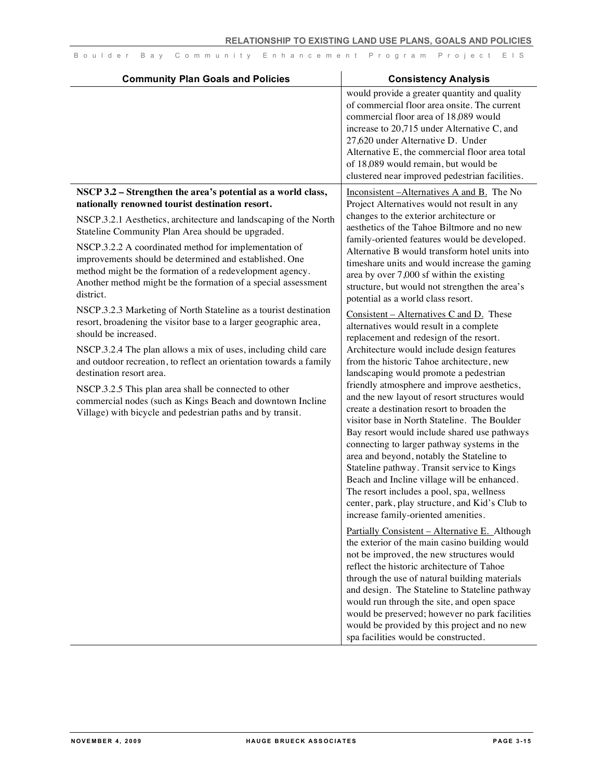| <b>Community Plan Goals and Policies</b>                                                                                                                                                                                                                                                                                                                                                                                                                                                                                                                                                                                                                                                                                                                                                                                                                                                                                                                       | <b>Consistency Analysis</b>                                                                                                                                                                                                                                                                                                                                                                                                                                                                                                                                                                                                                                                                                                                                                                                                                                                                                                                                                                                                                                                                                                                                                                                                                                                                                                                                                                                                                                                                                                                                                                                                                                                                                                              |
|----------------------------------------------------------------------------------------------------------------------------------------------------------------------------------------------------------------------------------------------------------------------------------------------------------------------------------------------------------------------------------------------------------------------------------------------------------------------------------------------------------------------------------------------------------------------------------------------------------------------------------------------------------------------------------------------------------------------------------------------------------------------------------------------------------------------------------------------------------------------------------------------------------------------------------------------------------------|------------------------------------------------------------------------------------------------------------------------------------------------------------------------------------------------------------------------------------------------------------------------------------------------------------------------------------------------------------------------------------------------------------------------------------------------------------------------------------------------------------------------------------------------------------------------------------------------------------------------------------------------------------------------------------------------------------------------------------------------------------------------------------------------------------------------------------------------------------------------------------------------------------------------------------------------------------------------------------------------------------------------------------------------------------------------------------------------------------------------------------------------------------------------------------------------------------------------------------------------------------------------------------------------------------------------------------------------------------------------------------------------------------------------------------------------------------------------------------------------------------------------------------------------------------------------------------------------------------------------------------------------------------------------------------------------------------------------------------------|
|                                                                                                                                                                                                                                                                                                                                                                                                                                                                                                                                                                                                                                                                                                                                                                                                                                                                                                                                                                | would provide a greater quantity and quality<br>of commercial floor area onsite. The current<br>commercial floor area of 18,089 would<br>increase to 20,715 under Alternative C, and<br>27,620 under Alternative D. Under<br>Alternative E, the commercial floor area total<br>of 18,089 would remain, but would be<br>clustered near improved pedestrian facilities.                                                                                                                                                                                                                                                                                                                                                                                                                                                                                                                                                                                                                                                                                                                                                                                                                                                                                                                                                                                                                                                                                                                                                                                                                                                                                                                                                                    |
| NSCP 3.2 - Strengthen the area's potential as a world class,                                                                                                                                                                                                                                                                                                                                                                                                                                                                                                                                                                                                                                                                                                                                                                                                                                                                                                   | Inconsistent – Alternatives A and B. The No                                                                                                                                                                                                                                                                                                                                                                                                                                                                                                                                                                                                                                                                                                                                                                                                                                                                                                                                                                                                                                                                                                                                                                                                                                                                                                                                                                                                                                                                                                                                                                                                                                                                                              |
| nationally renowned tourist destination resort.<br>NSCP.3.2.1 Aesthetics, architecture and landscaping of the North<br>Stateline Community Plan Area should be upgraded.<br>NSCP.3.2.2 A coordinated method for implementation of<br>improvements should be determined and established. One<br>method might be the formation of a redevelopment agency.<br>Another method might be the formation of a special assessment<br>district.<br>NSCP.3.2.3 Marketing of North Stateline as a tourist destination<br>resort, broadening the visitor base to a larger geographic area,<br>should be increased.<br>NSCP.3.2.4 The plan allows a mix of uses, including child care<br>and outdoor recreation, to reflect an orientation towards a family<br>destination resort area.<br>NSCP.3.2.5 This plan area shall be connected to other<br>commercial nodes (such as Kings Beach and downtown Incline<br>Village) with bicycle and pedestrian paths and by transit. | Project Alternatives would not result in any<br>changes to the exterior architecture or<br>aesthetics of the Tahoe Biltmore and no new<br>family-oriented features would be developed.<br>Alternative B would transform hotel units into<br>timeshare units and would increase the gaming<br>area by over 7,000 sf within the existing<br>structure, but would not strengthen the area's<br>potential as a world class resort.<br>$Consistent - Alternatives C and D. These$<br>alternatives would result in a complete<br>replacement and redesign of the resort.<br>Architecture would include design features<br>from the historic Tahoe architecture, new<br>landscaping would promote a pedestrian<br>friendly atmosphere and improve aesthetics,<br>and the new layout of resort structures would<br>create a destination resort to broaden the<br>visitor base in North Stateline. The Boulder<br>Bay resort would include shared use pathways<br>connecting to larger pathway systems in the<br>area and beyond, notably the Stateline to<br>Stateline pathway. Transit service to Kings<br>Beach and Incline village will be enhanced.<br>The resort includes a pool, spa, wellness<br>center, park, play structure, and Kid's Club to<br>increase family-oriented amenities.<br>Partially Consistent - Alternative E. Although<br>the exterior of the main casino building would<br>not be improved, the new structures would<br>reflect the historic architecture of Tahoe<br>through the use of natural building materials<br>and design. The Stateline to Stateline pathway<br>would run through the site, and open space<br>would be preserved; however no park facilities<br>would be provided by this project and no new |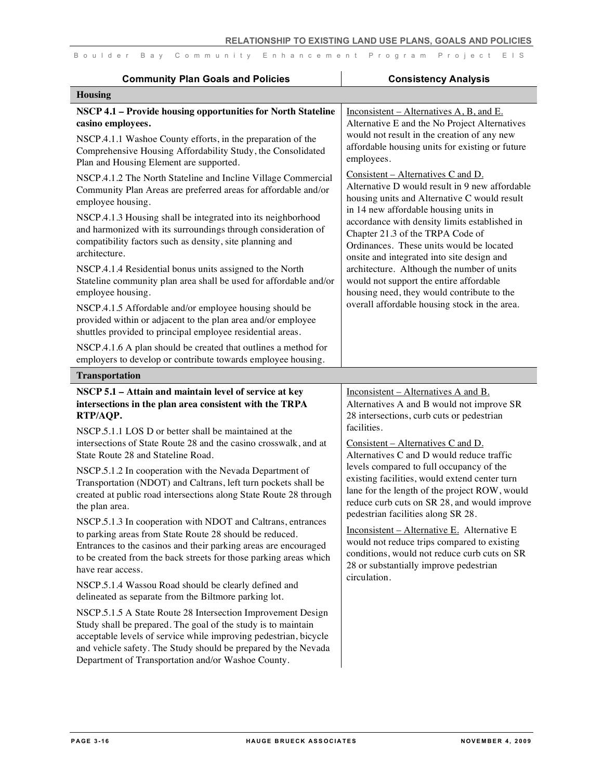| Boulder Bay Community Enhancement Program Project EIS |
|-------------------------------------------------------|
|-------------------------------------------------------|

| <b>Community Plan Goals and Policies</b>                                                                                                                                                                                                                                                                                 | <b>Consistency Analysis</b>                                                                                                                                                                                                      |
|--------------------------------------------------------------------------------------------------------------------------------------------------------------------------------------------------------------------------------------------------------------------------------------------------------------------------|----------------------------------------------------------------------------------------------------------------------------------------------------------------------------------------------------------------------------------|
| <b>Housing</b>                                                                                                                                                                                                                                                                                                           |                                                                                                                                                                                                                                  |
| NSCP 4.1 - Provide housing opportunities for North Stateline<br>casino employees.                                                                                                                                                                                                                                        | Inconsistent – Alternatives A, B, and E.<br>Alternative E and the No Project Alternatives                                                                                                                                        |
| NSCP.4.1.1 Washoe County efforts, in the preparation of the<br>Comprehensive Housing Affordability Study, the Consolidated<br>Plan and Housing Element are supported.                                                                                                                                                    | would not result in the creation of any new<br>affordable housing units for existing or future<br>employees.                                                                                                                     |
| NSCP.4.1.2 The North Stateline and Incline Village Commercial<br>Community Plan Areas are preferred areas for affordable and/or<br>employee housing.                                                                                                                                                                     | Consistent – Alternatives C and D.<br>Alternative D would result in 9 new affordable<br>housing units and Alternative C would result                                                                                             |
| NSCP.4.1.3 Housing shall be integrated into its neighborhood<br>and harmonized with its surroundings through consideration of<br>compatibility factors such as density, site planning and<br>architecture.                                                                                                               | in 14 new affordable housing units in<br>accordance with density limits established in<br>Chapter 21.3 of the TRPA Code of<br>Ordinances. These units would be located<br>onsite and integrated into site design and             |
| NSCP.4.1.4 Residential bonus units assigned to the North<br>Stateline community plan area shall be used for affordable and/or<br>employee housing.                                                                                                                                                                       | architecture. Although the number of units<br>would not support the entire affordable<br>housing need, they would contribute to the                                                                                              |
| NSCP.4.1.5 Affordable and/or employee housing should be<br>provided within or adjacent to the plan area and/or employee<br>shuttles provided to principal employee residential areas.                                                                                                                                    | overall affordable housing stock in the area.                                                                                                                                                                                    |
| NSCP.4.1.6 A plan should be created that outlines a method for<br>employers to develop or contribute towards employee housing.                                                                                                                                                                                           |                                                                                                                                                                                                                                  |
| <b>Transportation</b>                                                                                                                                                                                                                                                                                                    |                                                                                                                                                                                                                                  |
| NSCP 5.1 - Attain and maintain level of service at key<br>intersections in the plan area consistent with the TRPA<br>RTP/AQP.                                                                                                                                                                                            | Inconsistent – Alternatives A and B.<br>Alternatives A and B would not improve SR<br>28 intersections, curb cuts or pedestrian<br>facilities.                                                                                    |
| NSCP.5.1.1 LOS D or better shall be maintained at the<br>intersections of State Route 28 and the casino crosswalk, and at<br>State Route 28 and Stateline Road.                                                                                                                                                          | Consistent – Alternatives C and D.<br>Alternatives C and D would reduce traffic                                                                                                                                                  |
| NSCP.5.1.2 In cooperation with the Nevada Department of<br>Transportation (NDOT) and Caltrans, left turn pockets shall be<br>created at public road intersections along State Route 28 through<br>the plan area.                                                                                                         | levels compared to full occupancy of the<br>existing facilities, would extend center turn<br>lane for the length of the project ROW, would<br>reduce curb cuts on SR 28, and would improve<br>pedestrian facilities along SR 28. |
| NSCP.5.1.3 In cooperation with NDOT and Caltrans, entrances<br>to parking areas from State Route 28 should be reduced.<br>Entrances to the casinos and their parking areas are encouraged<br>to be created from the back streets for those parking areas which<br>have rear access.                                      | Inconsistent - Alternative E. Alternative E<br>would not reduce trips compared to existing<br>conditions, would not reduce curb cuts on SR<br>28 or substantially improve pedestrian<br>circulation.                             |
| NSCP.5.1.4 Wassou Road should be clearly defined and<br>delineated as separate from the Biltmore parking lot.                                                                                                                                                                                                            |                                                                                                                                                                                                                                  |
| NSCP.5.1.5 A State Route 28 Intersection Improvement Design<br>Study shall be prepared. The goal of the study is to maintain<br>acceptable levels of service while improving pedestrian, bicycle<br>and vehicle safety. The Study should be prepared by the Nevada<br>Department of Transportation and/or Washoe County. |                                                                                                                                                                                                                                  |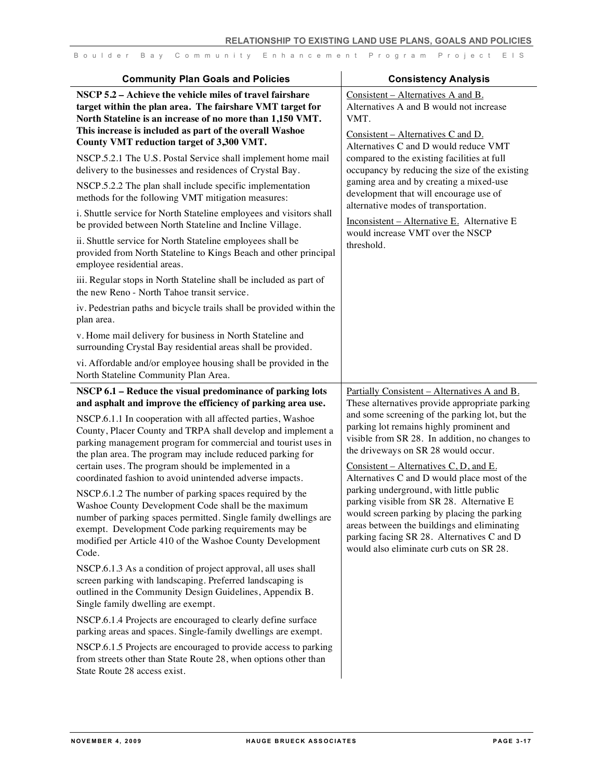| <b>Community Plan Goals and Policies</b>                                                                                                                                                                                                                                                                                                                                                                                                                                                                                                                                                                                                                                                                                                                                                                                                                                                                                          | <b>Consistency Analysis</b>                                                                                                                                                                                                                                                                                                                                                                                                                                                                                                                                   |
|-----------------------------------------------------------------------------------------------------------------------------------------------------------------------------------------------------------------------------------------------------------------------------------------------------------------------------------------------------------------------------------------------------------------------------------------------------------------------------------------------------------------------------------------------------------------------------------------------------------------------------------------------------------------------------------------------------------------------------------------------------------------------------------------------------------------------------------------------------------------------------------------------------------------------------------|---------------------------------------------------------------------------------------------------------------------------------------------------------------------------------------------------------------------------------------------------------------------------------------------------------------------------------------------------------------------------------------------------------------------------------------------------------------------------------------------------------------------------------------------------------------|
| NSCP 5.2 – Achieve the vehicle miles of travel fairshare<br>target within the plan area. The fairshare VMT target for<br>North Stateline is an increase of no more than 1,150 VMT.                                                                                                                                                                                                                                                                                                                                                                                                                                                                                                                                                                                                                                                                                                                                                | Consistent – Alternatives A and B.<br>Alternatives A and B would not increase<br>VMT.                                                                                                                                                                                                                                                                                                                                                                                                                                                                         |
| This increase is included as part of the overall Washoe<br>County VMT reduction target of 3,300 VMT.                                                                                                                                                                                                                                                                                                                                                                                                                                                                                                                                                                                                                                                                                                                                                                                                                              | <u>Consistent – Alternatives C and D.</u><br>Alternatives C and D would reduce VMT                                                                                                                                                                                                                                                                                                                                                                                                                                                                            |
| NSCP.5.2.1 The U.S. Postal Service shall implement home mail<br>delivery to the businesses and residences of Crystal Bay.                                                                                                                                                                                                                                                                                                                                                                                                                                                                                                                                                                                                                                                                                                                                                                                                         | compared to the existing facilities at full<br>occupancy by reducing the size of the existing<br>gaming area and by creating a mixed-use                                                                                                                                                                                                                                                                                                                                                                                                                      |
| NSCP.5.2.2 The plan shall include specific implementation<br>methods for the following VMT mitigation measures:                                                                                                                                                                                                                                                                                                                                                                                                                                                                                                                                                                                                                                                                                                                                                                                                                   | development that will encourage use of<br>alternative modes of transportation.                                                                                                                                                                                                                                                                                                                                                                                                                                                                                |
| i. Shuttle service for North Stateline employees and visitors shall<br>be provided between North Stateline and Incline Village.                                                                                                                                                                                                                                                                                                                                                                                                                                                                                                                                                                                                                                                                                                                                                                                                   | Inconsistent - Alternative E. Alternative E<br>would increase VMT over the NSCP                                                                                                                                                                                                                                                                                                                                                                                                                                                                               |
| ii. Shuttle service for North Stateline employees shall be<br>provided from North Stateline to Kings Beach and other principal<br>employee residential areas.                                                                                                                                                                                                                                                                                                                                                                                                                                                                                                                                                                                                                                                                                                                                                                     | threshold.                                                                                                                                                                                                                                                                                                                                                                                                                                                                                                                                                    |
| iii. Regular stops in North Stateline shall be included as part of<br>the new Reno - North Tahoe transit service.                                                                                                                                                                                                                                                                                                                                                                                                                                                                                                                                                                                                                                                                                                                                                                                                                 |                                                                                                                                                                                                                                                                                                                                                                                                                                                                                                                                                               |
| iv. Pedestrian paths and bicycle trails shall be provided within the<br>plan area.                                                                                                                                                                                                                                                                                                                                                                                                                                                                                                                                                                                                                                                                                                                                                                                                                                                |                                                                                                                                                                                                                                                                                                                                                                                                                                                                                                                                                               |
| v. Home mail delivery for business in North Stateline and<br>surrounding Crystal Bay residential areas shall be provided.                                                                                                                                                                                                                                                                                                                                                                                                                                                                                                                                                                                                                                                                                                                                                                                                         |                                                                                                                                                                                                                                                                                                                                                                                                                                                                                                                                                               |
| vi. Affordable and/or employee housing shall be provided in the<br>North Stateline Community Plan Area.                                                                                                                                                                                                                                                                                                                                                                                                                                                                                                                                                                                                                                                                                                                                                                                                                           |                                                                                                                                                                                                                                                                                                                                                                                                                                                                                                                                                               |
| NSCP 6.1 - Reduce the visual predominance of parking lots<br>and asphalt and improve the efficiency of parking area use.                                                                                                                                                                                                                                                                                                                                                                                                                                                                                                                                                                                                                                                                                                                                                                                                          | Partially Consistent - Alternatives A and B.<br>These alternatives provide appropriate parking                                                                                                                                                                                                                                                                                                                                                                                                                                                                |
| NSCP.6.1.1 In cooperation with all affected parties, Washoe<br>County, Placer County and TRPA shall develop and implement a<br>parking management program for commercial and tourist uses in<br>the plan area. The program may include reduced parking for<br>certain uses. The program should be implemented in a<br>coordinated fashion to avoid unintended adverse impacts.<br>NSCP.6.1.2 The number of parking spaces required by the<br>Washoe County Development Code shall be the maximum<br>number of parking spaces permitted. Single family dwellings are<br>exempt. Development Code parking requirements may be<br>modified per Article 410 of the Washoe County Development<br>Code.<br>NSCP.6.1.3 As a condition of project approval, all uses shall<br>screen parking with landscaping. Preferred landscaping is<br>outlined in the Community Design Guidelines, Appendix B.<br>Single family dwelling are exempt. | and some screening of the parking lot, but the<br>parking lot remains highly prominent and<br>visible from SR 28. In addition, no changes to<br>the driveways on SR 28 would occur.<br>Consistent – Alternatives C, D, and E.<br>Alternatives C and D would place most of the<br>parking underground, with little public<br>parking visible from SR 28. Alternative E<br>would screen parking by placing the parking<br>areas between the buildings and eliminating<br>parking facing SR 28. Alternatives C and D<br>would also eliminate curb cuts on SR 28. |
| NSCP.6.1.4 Projects are encouraged to clearly define surface<br>parking areas and spaces. Single-family dwellings are exempt.                                                                                                                                                                                                                                                                                                                                                                                                                                                                                                                                                                                                                                                                                                                                                                                                     |                                                                                                                                                                                                                                                                                                                                                                                                                                                                                                                                                               |
| NSCP.6.1.5 Projects are encouraged to provide access to parking<br>from streets other than State Route 28, when options other than<br>State Route 28 access exist.                                                                                                                                                                                                                                                                                                                                                                                                                                                                                                                                                                                                                                                                                                                                                                |                                                                                                                                                                                                                                                                                                                                                                                                                                                                                                                                                               |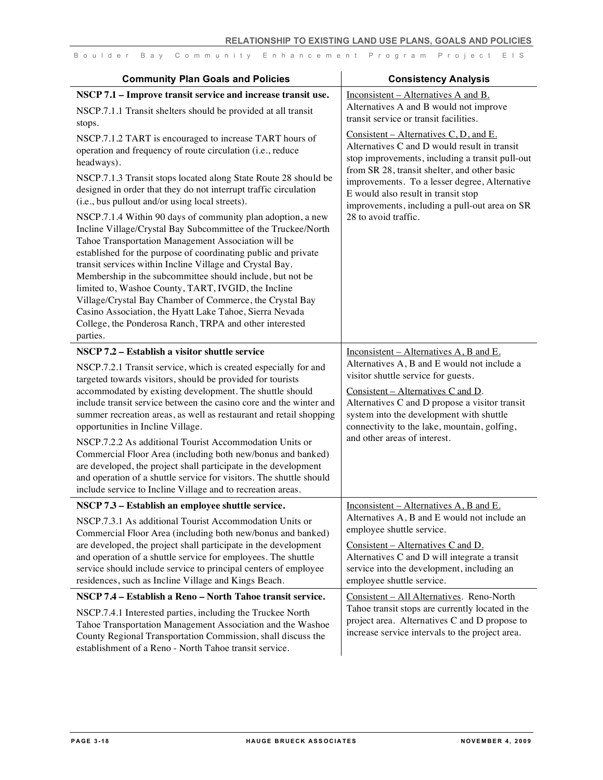| <b>Community Plan Goals and Policies</b>                                                                                                                                                                                                                                                                                                                                                                                                                                                                                                                                                                                                                                                                                                                                                                                                                                                                                                                             | <b>Consistency Analysis</b>                                                                                                                                                                                                                                                                                                                                |
|----------------------------------------------------------------------------------------------------------------------------------------------------------------------------------------------------------------------------------------------------------------------------------------------------------------------------------------------------------------------------------------------------------------------------------------------------------------------------------------------------------------------------------------------------------------------------------------------------------------------------------------------------------------------------------------------------------------------------------------------------------------------------------------------------------------------------------------------------------------------------------------------------------------------------------------------------------------------|------------------------------------------------------------------------------------------------------------------------------------------------------------------------------------------------------------------------------------------------------------------------------------------------------------------------------------------------------------|
| NSCP 7.1 - Improve transit service and increase transit use.<br>NSCP.7.1.1 Transit shelters should be provided at all transit<br>stops.                                                                                                                                                                                                                                                                                                                                                                                                                                                                                                                                                                                                                                                                                                                                                                                                                              | Inconsistent – Alternatives A and B.<br>Alternatives A and B would not improve<br>transit service or transit facilities.                                                                                                                                                                                                                                   |
| NSCP.7.1.2 TART is encouraged to increase TART hours of<br>operation and frequency of route circulation (i.e., reduce<br>headways).<br>NSCP.7.1.3 Transit stops located along State Route 28 should be<br>designed in order that they do not interrupt traffic circulation<br>(i.e., bus pullout and/or using local streets).<br>NSCP.7.1.4 Within 90 days of community plan adoption, a new<br>Incline Village/Crystal Bay Subcommittee of the Truckee/North<br>Tahoe Transportation Management Association will be<br>established for the purpose of coordinating public and private<br>transit services within Incline Village and Crystal Bay.<br>Membership in the subcommittee should include, but not be<br>limited to, Washoe County, TART, IVGID, the Incline<br>Village/Crystal Bay Chamber of Commerce, the Crystal Bay<br>Casino Association, the Hyatt Lake Tahoe, Sierra Nevada<br>College, the Ponderosa Ranch, TRPA and other interested<br>parties. | Consistent – Alternatives C, D, and E.<br>Alternatives C and D would result in transit<br>stop improvements, including a transit pull-out<br>from SR 28, transit shelter, and other basic<br>improvements. To a lesser degree, Alternative<br>E would also result in transit stop<br>improvements, including a pull-out area on SR<br>28 to avoid traffic. |
| NSCP 7.2 - Establish a visitor shuttle service<br>NSCP.7.2.1 Transit service, which is created especially for and<br>targeted towards visitors, should be provided for tourists<br>accommodated by existing development. The shuttle should<br>include transit service between the casino core and the winter and<br>summer recreation areas, as well as restaurant and retail shopping<br>opportunities in Incline Village.<br>NSCP.7.2.2 As additional Tourist Accommodation Units or<br>Commercial Floor Area (including both new/bonus and banked)<br>are developed, the project shall participate in the development<br>and operation of a shuttle service for visitors. The shuttle should<br>include service to Incline Village and to recreation areas.                                                                                                                                                                                                      | Inconsistent – Alternatives A, B and E.<br>Alternatives A, B and E would not include a<br>visitor shuttle service for guests.<br>Consistent - Alternatives C and D.<br>Alternatives C and D propose a visitor transit<br>system into the development with shuttle<br>connectivity to the lake, mountain, golfing,<br>and other areas of interest.          |
| NSCP 7.3 - Establish an employee shuttle service.<br>NSCP.7.3.1 As additional Tourist Accommodation Units or<br>Commercial Floor Area (including both new/bonus and banked)<br>are developed, the project shall participate in the development<br>and operation of a shuttle service for employees. The shuttle<br>service should include service to principal centers of employee<br>residences, such as Incline Village and Kings Beach.                                                                                                                                                                                                                                                                                                                                                                                                                                                                                                                           | Inconsistent – Alternatives A, B and E.<br>Alternatives A, B and E would not include an<br>employee shuttle service.<br>Consistent - Alternatives C and D.<br>Alternatives C and D will integrate a transit<br>service into the development, including an<br>employee shuttle service.                                                                     |
| NSCP 7.4 - Establish a Reno - North Tahoe transit service.<br>NSCP.7.4.1 Interested parties, including the Truckee North<br>Tahoe Transportation Management Association and the Washoe<br>County Regional Transportation Commission, shall discuss the<br>establishment of a Reno - North Tahoe transit service.                                                                                                                                                                                                                                                                                                                                                                                                                                                                                                                                                                                                                                                     | Consistent - All Alternatives. Reno-North<br>Tahoe transit stops are currently located in the<br>project area. Alternatives C and D propose to<br>increase service intervals to the project area.                                                                                                                                                          |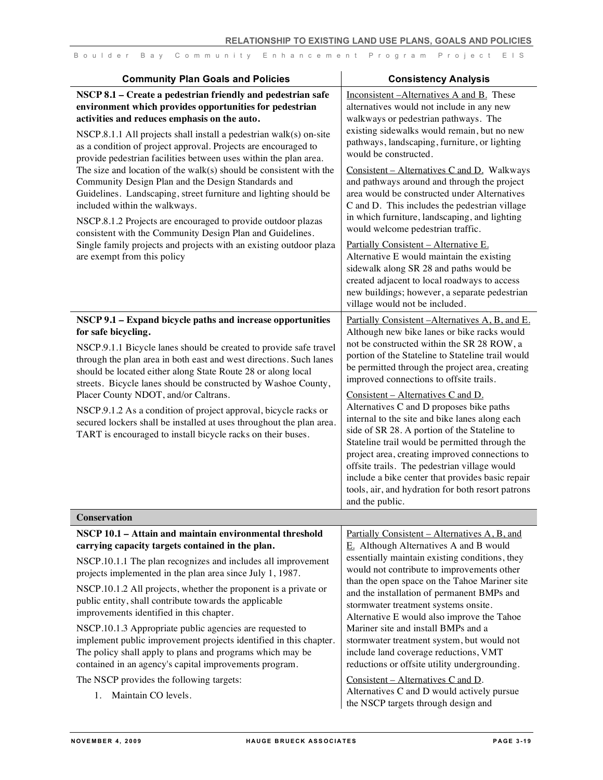| <b>Community Plan Goals and Policies</b>                                                                                                                                                                                                                                                                                                                                                                                                                                                                                                                                                                                                                                                                                                                                                                                                              | <b>Consistency Analysis</b>                                                                                                                                                                                                                                                                                                                                                                                                                                                                                                                                                                                                                                                                                                                                                                                     |
|-------------------------------------------------------------------------------------------------------------------------------------------------------------------------------------------------------------------------------------------------------------------------------------------------------------------------------------------------------------------------------------------------------------------------------------------------------------------------------------------------------------------------------------------------------------------------------------------------------------------------------------------------------------------------------------------------------------------------------------------------------------------------------------------------------------------------------------------------------|-----------------------------------------------------------------------------------------------------------------------------------------------------------------------------------------------------------------------------------------------------------------------------------------------------------------------------------------------------------------------------------------------------------------------------------------------------------------------------------------------------------------------------------------------------------------------------------------------------------------------------------------------------------------------------------------------------------------------------------------------------------------------------------------------------------------|
| NSCP 8.1 - Create a pedestrian friendly and pedestrian safe<br>environment which provides opportunities for pedestrian<br>activities and reduces emphasis on the auto.<br>NSCP.8.1.1 All projects shall install a pedestrian walk(s) on-site<br>as a condition of project approval. Projects are encouraged to<br>provide pedestrian facilities between uses within the plan area.<br>The size and location of the walk(s) should be consistent with the<br>Community Design Plan and the Design Standards and<br>Guidelines. Landscaping, street furniture and lighting should be<br>included within the walkways.<br>NSCP.8.1.2 Projects are encouraged to provide outdoor plazas<br>consistent with the Community Design Plan and Guidelines.<br>Single family projects and projects with an existing outdoor plaza<br>are exempt from this policy | Inconsistent-Alternatives A and B. These<br>alternatives would not include in any new<br>walkways or pedestrian pathways. The<br>existing sidewalks would remain, but no new<br>pathways, landscaping, furniture, or lighting<br>would be constructed.<br>Consistent – Alternatives C and D. Walkways<br>and pathways around and through the project<br>area would be constructed under Alternatives<br>C and D. This includes the pedestrian village<br>in which furniture, landscaping, and lighting<br>would welcome pedestrian traffic.<br>Partially Consistent - Alternative E.<br>Alternative E would maintain the existing<br>sidewalk along SR 28 and paths would be<br>created adjacent to local roadways to access<br>new buildings; however, a separate pedestrian<br>village would not be included. |
| NSCP 9.1 - Expand bicycle paths and increase opportunities<br>for safe bicycling.<br>NSCP.9.1.1 Bicycle lanes should be created to provide safe travel<br>through the plan area in both east and west directions. Such lanes<br>should be located either along State Route 28 or along local<br>streets. Bicycle lanes should be constructed by Washoe County,<br>Placer County NDOT, and/or Caltrans.<br>NSCP.9.1.2 As a condition of project approval, bicycle racks or<br>secured lockers shall be installed at uses throughout the plan area.<br>TART is encouraged to install bicycle racks on their buses.                                                                                                                                                                                                                                      | Partially Consistent - Alternatives A, B, and E.<br>Although new bike lanes or bike racks would<br>not be constructed within the SR 28 ROW, a<br>portion of the Stateline to Stateline trail would<br>be permitted through the project area, creating<br>improved connections to offsite trails.<br>Consistent – Alternatives C and D.<br>Alternatives C and D proposes bike paths<br>internal to the site and bike lanes along each<br>side of SR 28. A portion of the Stateline to<br>Stateline trail would be permitted through the<br>project area, creating improved connections to<br>offsite trails. The pedestrian village would<br>include a bike center that provides basic repair<br>tools, air, and hydration for both resort patrons<br>and the public.                                            |
| <b>Conservation</b>                                                                                                                                                                                                                                                                                                                                                                                                                                                                                                                                                                                                                                                                                                                                                                                                                                   |                                                                                                                                                                                                                                                                                                                                                                                                                                                                                                                                                                                                                                                                                                                                                                                                                 |
| NSCP 10.1 - Attain and maintain environmental threshold<br>carrying capacity targets contained in the plan.<br>NSCP.10.1.1 The plan recognizes and includes all improvement<br>projects implemented in the plan area since July 1, 1987.<br>NSCP.10.1.2 All projects, whether the proponent is a private or<br>public entity, shall contribute towards the applicable                                                                                                                                                                                                                                                                                                                                                                                                                                                                                 | <u>Partially Consistent – Alternatives A, B, and</u><br>$E$ . Although Alternatives A and B would<br>essentially maintain existing conditions, they<br>would not contribute to improvements other<br>than the open space on the Tahoe Mariner site<br>and the installation of permanent BMPs and<br>stormwater treatment systems onsite                                                                                                                                                                                                                                                                                                                                                                                                                                                                         |

improvements identified in this chapter.

The NSCP provides the following targets:

1. Maintain CO levels.

NSCP.10.1.3 Appropriate public agencies are requested to implement public improvement projects identified in this chapter. The policy shall apply to plans and programs which may be contained in an agency's capital improvements program.

stormwater treatment systems onsite. Alternative E would also improve the Tahoe

Mariner site and install BMPs and a

Consistent – Alternatives C and D.

stormwater treatment system, but would not include land coverage reductions, VMT reductions or offsite utility undergrounding.

Alternatives C and D would actively pursue the NSCP targets through design and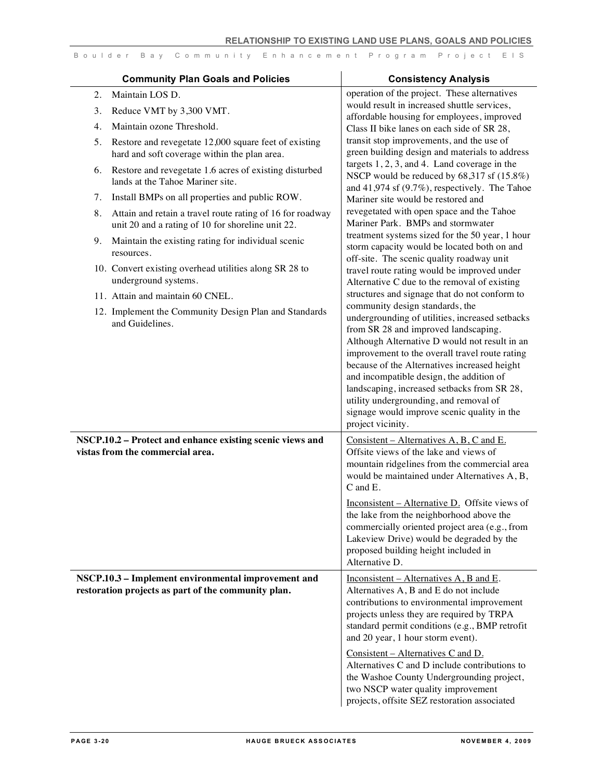|    | <b>Community Plan Goals and Policies</b>                                                                       | <b>Consistency Analysis</b>                                                                |
|----|----------------------------------------------------------------------------------------------------------------|--------------------------------------------------------------------------------------------|
| 2. | Maintain LOS D.                                                                                                | operation of the project. These alternatives                                               |
| 3. | Reduce VMT by 3,300 VMT.                                                                                       | would result in increased shuttle services,                                                |
| 4. | Maintain ozone Threshold.                                                                                      | affordable housing for employees, improved<br>Class II bike lanes on each side of SR 28,   |
| 5. | Restore and revegetate 12,000 square feet of existing                                                          | transit stop improvements, and the use of                                                  |
|    | hard and soft coverage within the plan area.                                                                   | green building design and materials to address                                             |
| 6. | Restore and revegetate 1.6 acres of existing disturbed                                                         | targets $1, 2, 3$ , and 4. Land coverage in the                                            |
|    | lands at the Tahoe Mariner site.                                                                               | NSCP would be reduced by 68,317 sf (15.8%)                                                 |
| 7. | Install BMPs on all properties and public ROW.                                                                 | and 41,974 sf $(9.7\%)$ , respectively. The Tahoe                                          |
|    |                                                                                                                | Mariner site would be restored and<br>revegetated with open space and the Tahoe            |
| 8. | Attain and retain a travel route rating of 16 for roadway<br>unit 20 and a rating of 10 for shoreline unit 22. | Mariner Park. BMPs and stormwater                                                          |
| 9. | Maintain the existing rating for individual scenic                                                             | treatment systems sized for the 50 year, 1 hour                                            |
|    | resources.                                                                                                     | storm capacity would be located both on and<br>off-site. The scenic quality roadway unit   |
|    | 10. Convert existing overhead utilities along SR 28 to                                                         | travel route rating would be improved under                                                |
|    | underground systems.                                                                                           | Alternative C due to the removal of existing                                               |
|    | 11. Attain and maintain 60 CNEL.                                                                               | structures and signage that do not conform to                                              |
|    | 12. Implement the Community Design Plan and Standards                                                          | community design standards, the                                                            |
|    | and Guidelines.                                                                                                | undergrounding of utilities, increased setbacks                                            |
|    |                                                                                                                | from SR 28 and improved landscaping.<br>Although Alternative D would not result in an      |
|    |                                                                                                                | improvement to the overall travel route rating                                             |
|    |                                                                                                                | because of the Alternatives increased height                                               |
|    |                                                                                                                | and incompatible design, the addition of                                                   |
|    |                                                                                                                | landscaping, increased setbacks from SR 28,                                                |
|    |                                                                                                                | utility undergrounding, and removal of                                                     |
|    |                                                                                                                | signage would improve scenic quality in the<br>project vicinity.                           |
|    | NSCP.10.2 - Protect and enhance existing scenic views and                                                      | Consistent – Alternatives $A, B, C$ and E.                                                 |
|    | vistas from the commercial area.                                                                               | Offsite views of the lake and views of                                                     |
|    |                                                                                                                | mountain ridgelines from the commercial area                                               |
|    |                                                                                                                | would be maintained under Alternatives A, B,                                               |
|    |                                                                                                                | C and E.                                                                                   |
|    |                                                                                                                | Inconsistent – Alternative D. Offsite views of                                             |
|    |                                                                                                                | the lake from the neighborhood above the                                                   |
|    |                                                                                                                | commercially oriented project area (e.g., from<br>Lakeview Drive) would be degraded by the |
|    |                                                                                                                | proposed building height included in                                                       |
|    |                                                                                                                | Alternative D.                                                                             |
|    | NSCP.10.3 - Implement environmental improvement and                                                            | Inconsistent – Alternatives A, B and E.                                                    |
|    | restoration projects as part of the community plan.                                                            | Alternatives A, B and E do not include                                                     |
|    |                                                                                                                | contributions to environmental improvement                                                 |
|    |                                                                                                                | projects unless they are required by TRPA                                                  |
|    |                                                                                                                | standard permit conditions (e.g., BMP retrofit<br>and 20 year, 1 hour storm event).        |
|    |                                                                                                                | Consistent – Alternatives C and D.                                                         |
|    |                                                                                                                | Alternatives C and D include contributions to                                              |
|    |                                                                                                                | the Washoe County Undergrounding project,                                                  |
|    |                                                                                                                | two NSCP water quality improvement                                                         |
|    |                                                                                                                | projects, offsite SEZ restoration associated                                               |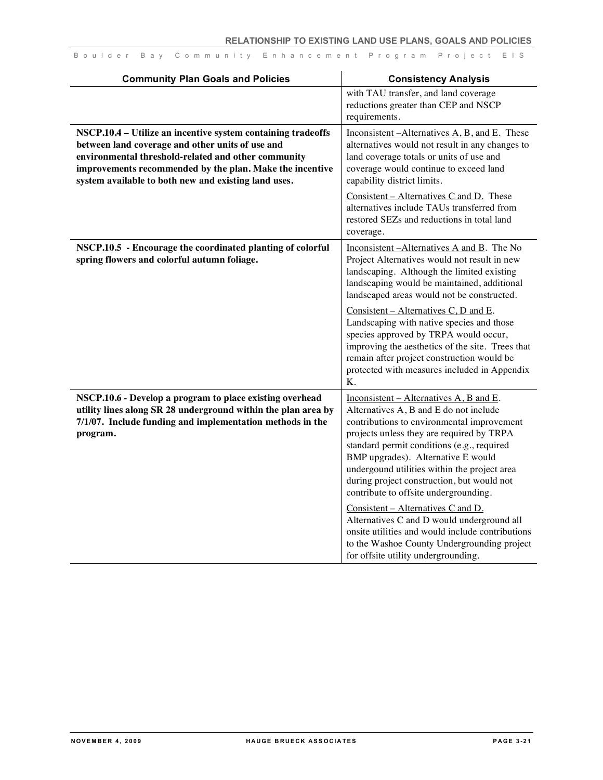| <b>Community Plan Goals and Policies</b>                                                                                                                                                                                                                                                    | <b>Consistency Analysis</b>                                                                                                                                                                                                                                                                                                                                                                                                                                                                                                                                                                                                           |
|---------------------------------------------------------------------------------------------------------------------------------------------------------------------------------------------------------------------------------------------------------------------------------------------|---------------------------------------------------------------------------------------------------------------------------------------------------------------------------------------------------------------------------------------------------------------------------------------------------------------------------------------------------------------------------------------------------------------------------------------------------------------------------------------------------------------------------------------------------------------------------------------------------------------------------------------|
|                                                                                                                                                                                                                                                                                             | with TAU transfer, and land coverage<br>reductions greater than CEP and NSCP<br>requirements.                                                                                                                                                                                                                                                                                                                                                                                                                                                                                                                                         |
| NSCP.10.4 - Utilize an incentive system containing tradeoffs<br>between land coverage and other units of use and<br>environmental threshold-related and other community<br>improvements recommended by the plan. Make the incentive<br>system available to both new and existing land uses. | Inconsistent - Alternatives A, B, and E. These<br>alternatives would not result in any changes to<br>land coverage totals or units of use and<br>coverage would continue to exceed land<br>capability district limits.<br>$Consistent - Alternatives C and D. These$<br>alternatives include TAUs transferred from<br>restored SEZs and reductions in total land<br>coverage.                                                                                                                                                                                                                                                         |
| NSCP.10.5 - Encourage the coordinated planting of colorful<br>spring flowers and colorful autumn foliage.                                                                                                                                                                                   | Inconsistent - Alternatives A and B. The No<br>Project Alternatives would not result in new<br>landscaping. Although the limited existing<br>landscaping would be maintained, additional<br>landscaped areas would not be constructed.<br>Consistent – Alternatives C, D and E.<br>Landscaping with native species and those<br>species approved by TRPA would occur,<br>improving the aesthetics of the site. Trees that<br>remain after project construction would be<br>protected with measures included in Appendix<br>Κ.                                                                                                         |
| NSCP.10.6 - Develop a program to place existing overhead<br>utility lines along SR 28 underground within the plan area by<br>7/1/07. Include funding and implementation methods in the<br>program.                                                                                          | Inconsistent – Alternatives A, B and E.<br>Alternatives A, B and E do not include<br>contributions to environmental improvement<br>projects unless they are required by TRPA<br>standard permit conditions (e.g., required<br>BMP upgrades). Alternative E would<br>undergound utilities within the project area<br>during project construction, but would not<br>contribute to offsite undergrounding.<br>Consistent – Alternatives C and D.<br>Alternatives C and D would underground all<br>onsite utilities and would include contributions<br>to the Washoe County Undergrounding project<br>for offsite utility undergrounding. |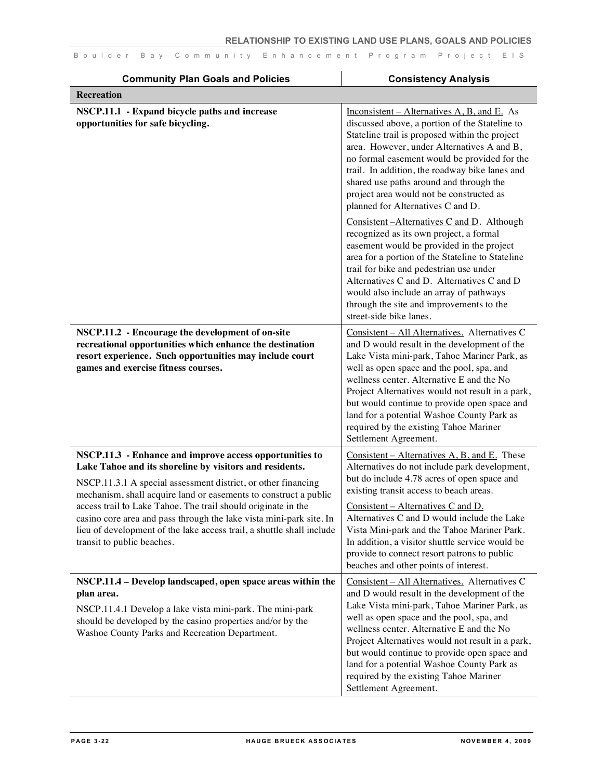| <b>Community Plan Goals and Policies</b>                                                                                                                                                                                                                                                                                                                                                                                                                                                               | <b>Consistency Analysis</b>                                                                                                                                                                                                                                                                                                                                                                                                                                                 |
|--------------------------------------------------------------------------------------------------------------------------------------------------------------------------------------------------------------------------------------------------------------------------------------------------------------------------------------------------------------------------------------------------------------------------------------------------------------------------------------------------------|-----------------------------------------------------------------------------------------------------------------------------------------------------------------------------------------------------------------------------------------------------------------------------------------------------------------------------------------------------------------------------------------------------------------------------------------------------------------------------|
| <b>Recreation</b>                                                                                                                                                                                                                                                                                                                                                                                                                                                                                      |                                                                                                                                                                                                                                                                                                                                                                                                                                                                             |
| NSCP.11.1 - Expand bicycle paths and increase<br>opportunities for safe bicycling.                                                                                                                                                                                                                                                                                                                                                                                                                     | $Inconsistent - Alternatives A, B, and E. As$<br>discussed above, a portion of the Stateline to<br>Stateline trail is proposed within the project<br>area. However, under Alternatives A and B,<br>no formal easement would be provided for the<br>trail. In addition, the roadway bike lanes and<br>shared use paths around and through the<br>project area would not be constructed as<br>planned for Alternatives C and D.                                               |
|                                                                                                                                                                                                                                                                                                                                                                                                                                                                                                        | Consistent-Alternatives C and D. Although<br>recognized as its own project, a formal<br>easement would be provided in the project<br>area for a portion of the Stateline to Stateline<br>trail for bike and pedestrian use under<br>Alternatives C and D. Alternatives C and D<br>would also include an array of pathways<br>through the site and improvements to the<br>street-side bike lanes.                                                                            |
| NSCP.11.2 - Encourage the development of on-site<br>recreational opportunities which enhance the destination<br>resort experience. Such opportunities may include court<br>games and exercise fitness courses.                                                                                                                                                                                                                                                                                         | Consistent - All Alternatives. Alternatives C<br>and D would result in the development of the<br>Lake Vista mini-park, Tahoe Mariner Park, as<br>well as open space and the pool, spa, and<br>wellness center. Alternative E and the No<br>Project Alternatives would not result in a park,<br>but would continue to provide open space and<br>land for a potential Washoe County Park as<br>required by the existing Tahoe Mariner<br>Settlement Agreement.                |
| NSCP.11.3 - Enhance and improve access opportunities to<br>Lake Tahoe and its shoreline by visitors and residents.<br>NSCP.11.3.1 A special assessment district, or other financing<br>mechanism, shall acquire land or easements to construct a public<br>access trail to Lake Tahoe. The trail should originate in the<br>casino core area and pass through the lake vista mini-park site. In<br>lieu of development of the lake access trail, a shuttle shall include<br>transit to public beaches. | Consistent – Alternatives $A, B,$ and $E$ . These<br>Alternatives do not include park development,<br>but do include 4.78 acres of open space and<br>existing transit access to beach areas.<br>Consistent - Alternatives C and D.<br>Alternatives C and D would include the Lake<br>Vista Mini-park and the Tahoe Mariner Park.<br>In addition, a visitor shuttle service would be<br>provide to connect resort patrons to public<br>beaches and other points of interest. |
| NSCP.11.4 - Develop landscaped, open space areas within the<br>plan area.<br>NSCP.11.4.1 Develop a lake vista mini-park. The mini-park<br>should be developed by the casino properties and/or by the<br>Washoe County Parks and Recreation Department.                                                                                                                                                                                                                                                 | Consistent - All Alternatives. Alternatives C<br>and D would result in the development of the<br>Lake Vista mini-park, Tahoe Mariner Park, as<br>well as open space and the pool, spa, and<br>wellness center. Alternative E and the No<br>Project Alternatives would not result in a park,<br>but would continue to provide open space and<br>land for a potential Washoe County Park as<br>required by the existing Tahoe Mariner<br>Settlement Agreement.                |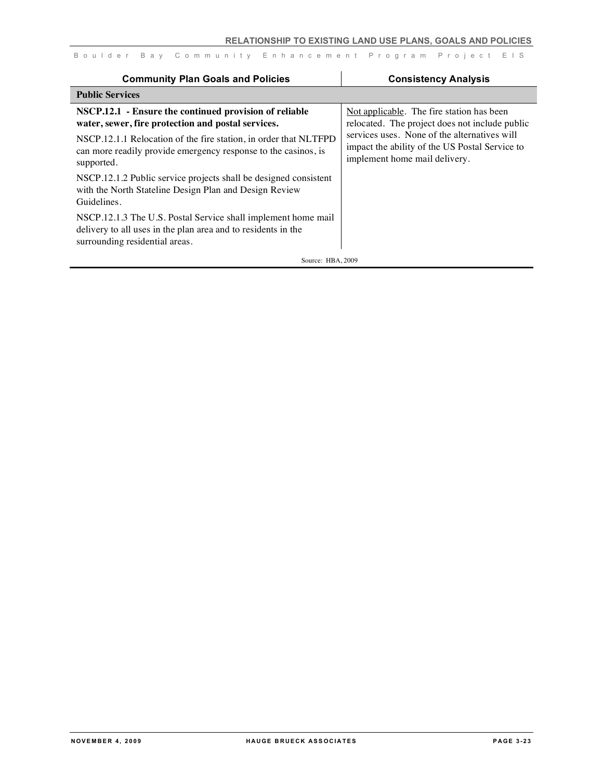| <b>Community Plan Goals and Policies</b>                                                                                                                                                                                                                         | <b>Consistency Analysis</b>                                                                                                                                                                                                    |
|------------------------------------------------------------------------------------------------------------------------------------------------------------------------------------------------------------------------------------------------------------------|--------------------------------------------------------------------------------------------------------------------------------------------------------------------------------------------------------------------------------|
| <b>Public Services</b>                                                                                                                                                                                                                                           |                                                                                                                                                                                                                                |
| NSCP.12.1 - Ensure the continued provision of reliable<br>water, sewer, fire protection and postal services.<br>NSCP.12.1.1 Relocation of the fire station, in order that NLTFPD<br>can more readily provide emergency response to the casinos, is<br>supported. | Not applicable. The fire station has been<br>relocated. The project does not include public<br>services uses. None of the alternatives will<br>impact the ability of the US Postal Service to<br>implement home mail delivery. |
| NSCP.12.1.2 Public service projects shall be designed consistent<br>with the North Stateline Design Plan and Design Review<br>Guidelines.                                                                                                                        |                                                                                                                                                                                                                                |
| NSCP.12.1.3 The U.S. Postal Service shall implement home mail<br>delivery to all uses in the plan area and to residents in the<br>surrounding residential areas.                                                                                                 |                                                                                                                                                                                                                                |
| Source: HBA, 2009                                                                                                                                                                                                                                                |                                                                                                                                                                                                                                |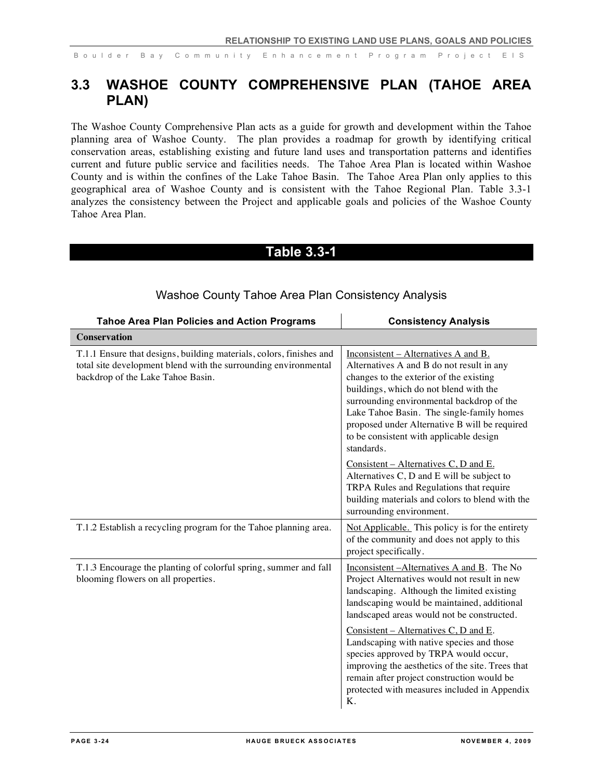# **3.3 WASHOE COUNTY COMPREHENSIVE PLAN (TAHOE AREA PLAN)**

The Washoe County Comprehensive Plan acts as a guide for growth and development within the Tahoe planning area of Washoe County. The plan provides a roadmap for growth by identifying critical conservation areas, establishing existing and future land uses and transportation patterns and identifies current and future public service and facilities needs. The Tahoe Area Plan is located within Washoe County and is within the confines of the Lake Tahoe Basin. The Tahoe Area Plan only applies to this geographical area of Washoe County and is consistent with the Tahoe Regional Plan. Table 3.3-1 analyzes the consistency between the Project and applicable goals and policies of the Washoe County Tahoe Area Plan.

### **Table 3.3-1**

| <b>Tahoe Area Plan Policies and Action Programs</b>                                                                                                                         | <b>Consistency Analysis</b>                                                                                                                                                                                                                                                                                                                                                |
|-----------------------------------------------------------------------------------------------------------------------------------------------------------------------------|----------------------------------------------------------------------------------------------------------------------------------------------------------------------------------------------------------------------------------------------------------------------------------------------------------------------------------------------------------------------------|
| <b>Conservation</b>                                                                                                                                                         |                                                                                                                                                                                                                                                                                                                                                                            |
| T.1.1 Ensure that designs, building materials, colors, finishes and<br>total site development blend with the surrounding environmental<br>backdrop of the Lake Tahoe Basin. | Inconsistent – Alternatives A and B.<br>Alternatives A and B do not result in any<br>changes to the exterior of the existing<br>buildings, which do not blend with the<br>surrounding environmental backdrop of the<br>Lake Tahoe Basin. The single-family homes<br>proposed under Alternative B will be required<br>to be consistent with applicable design<br>standards. |
|                                                                                                                                                                             | Consistent – Alternatives C, D and E.<br>Alternatives C, D and E will be subject to<br>TRPA Rules and Regulations that require<br>building materials and colors to blend with the<br>surrounding environment.                                                                                                                                                              |
| T.1.2 Establish a recycling program for the Tahoe planning area.                                                                                                            | Not Applicable. This policy is for the entirety<br>of the community and does not apply to this<br>project specifically.                                                                                                                                                                                                                                                    |
| T.1.3 Encourage the planting of colorful spring, summer and fall<br>blooming flowers on all properties.                                                                     | Inconsistent - Alternatives A and B. The No<br>Project Alternatives would not result in new<br>landscaping. Although the limited existing<br>landscaping would be maintained, additional<br>landscaped areas would not be constructed.                                                                                                                                     |
|                                                                                                                                                                             | Consistent – Alternatives C, D and E.<br>Landscaping with native species and those<br>species approved by TRPA would occur,<br>improving the aesthetics of the site. Trees that<br>remain after project construction would be<br>protected with measures included in Appendix<br>Κ.                                                                                        |

#### Washoe County Tahoe Area Plan Consistency Analysis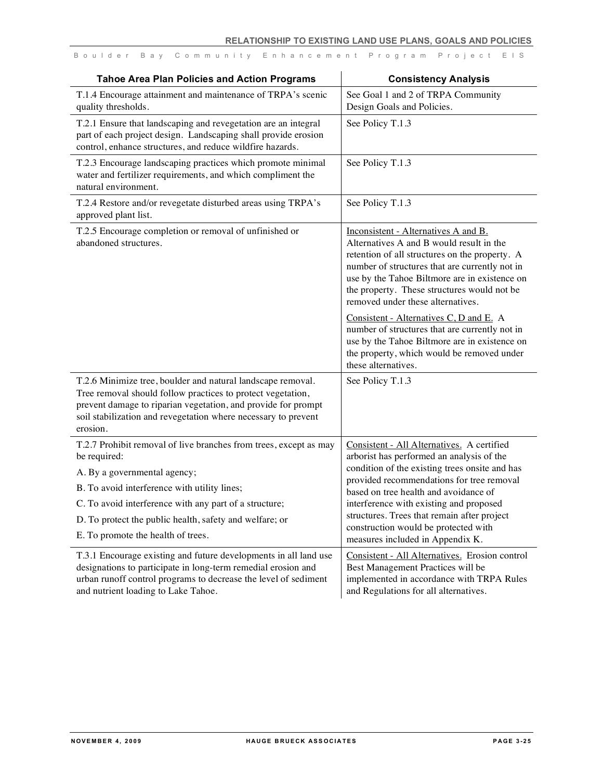| <b>Tahoe Area Plan Policies and Action Programs</b>                                                                                                                                                                                                                                                                          | <b>Consistency Analysis</b>                                                                                                                                                                                                                                                                                                                                                                                                                                                                                                                  |
|------------------------------------------------------------------------------------------------------------------------------------------------------------------------------------------------------------------------------------------------------------------------------------------------------------------------------|----------------------------------------------------------------------------------------------------------------------------------------------------------------------------------------------------------------------------------------------------------------------------------------------------------------------------------------------------------------------------------------------------------------------------------------------------------------------------------------------------------------------------------------------|
| T.1.4 Encourage attainment and maintenance of TRPA's scenic<br>quality thresholds.                                                                                                                                                                                                                                           | See Goal 1 and 2 of TRPA Community<br>Design Goals and Policies.                                                                                                                                                                                                                                                                                                                                                                                                                                                                             |
| T.2.1 Ensure that landscaping and revegetation are an integral<br>part of each project design. Landscaping shall provide erosion<br>control, enhance structures, and reduce wildfire hazards.                                                                                                                                | See Policy T.1.3                                                                                                                                                                                                                                                                                                                                                                                                                                                                                                                             |
| T.2.3 Encourage landscaping practices which promote minimal<br>water and fertilizer requirements, and which compliment the<br>natural environment.                                                                                                                                                                           | See Policy T.1.3                                                                                                                                                                                                                                                                                                                                                                                                                                                                                                                             |
| T.2.4 Restore and/or revegetate disturbed areas using TRPA's<br>approved plant list.                                                                                                                                                                                                                                         | See Policy T.1.3                                                                                                                                                                                                                                                                                                                                                                                                                                                                                                                             |
| T.2.5 Encourage completion or removal of unfinished or<br>abandoned structures.                                                                                                                                                                                                                                              | Inconsistent - Alternatives A and B.<br>Alternatives A and B would result in the<br>retention of all structures on the property. A<br>number of structures that are currently not in<br>use by the Tahoe Biltmore are in existence on<br>the property. These structures would not be<br>removed under these alternatives.<br>Consistent - Alternatives C, D and E. A<br>number of structures that are currently not in<br>use by the Tahoe Biltmore are in existence on<br>the property, which would be removed under<br>these alternatives. |
| T.2.6 Minimize tree, boulder and natural landscape removal.<br>Tree removal should follow practices to protect vegetation,<br>prevent damage to riparian vegetation, and provide for prompt<br>soil stabilization and revegetation where necessary to prevent<br>erosion.                                                    | See Policy T.1.3                                                                                                                                                                                                                                                                                                                                                                                                                                                                                                                             |
| T.2.7 Prohibit removal of live branches from trees, except as may<br>be required:<br>A. By a governmental agency;<br>B. To avoid interference with utility lines;<br>C. To avoid interference with any part of a structure;<br>D. To protect the public health, safety and welfare; or<br>E. To promote the health of trees. | Consistent - All Alternatives. A certified<br>arborist has performed an analysis of the<br>condition of the existing trees onsite and has<br>provided recommendations for tree removal<br>based on tree health and avoidance of<br>interference with existing and proposed<br>structures. Trees that remain after project<br>construction would be protected with<br>measures included in Appendix K.                                                                                                                                        |
| T.3.1 Encourage existing and future developments in all land use<br>designations to participate in long-term remedial erosion and<br>urban runoff control programs to decrease the level of sediment<br>and nutrient loading to Lake Tahoe.                                                                                  | Consistent - All Alternatives. Erosion control<br>Best Management Practices will be<br>implemented in accordance with TRPA Rules<br>and Regulations for all alternatives.                                                                                                                                                                                                                                                                                                                                                                    |